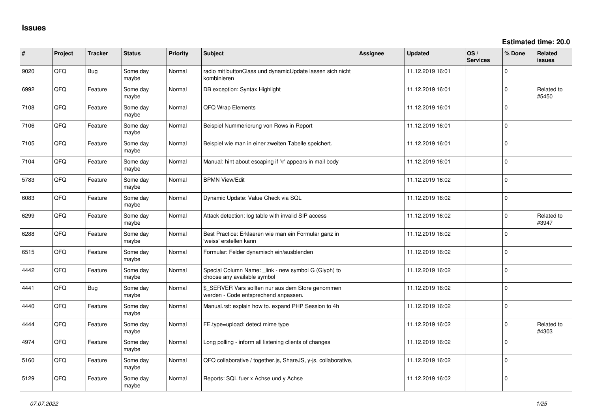| #    | Project | <b>Tracker</b> | <b>Status</b>     | <b>Priority</b> | <b>Subject</b>                                                                            | <b>Assignee</b> | <b>Updated</b>   | OS/<br><b>Services</b> | % Done      | <b>Related</b><br><b>issues</b> |
|------|---------|----------------|-------------------|-----------------|-------------------------------------------------------------------------------------------|-----------------|------------------|------------------------|-------------|---------------------------------|
| 9020 | QFQ     | Bug            | Some day<br>maybe | Normal          | radio mit buttonClass und dynamicUpdate lassen sich nicht<br>kombinieren                  |                 | 11.12.2019 16:01 |                        | $\Omega$    |                                 |
| 6992 | QFQ     | Feature        | Some day<br>maybe | Normal          | DB exception: Syntax Highlight                                                            |                 | 11.12.2019 16:01 |                        | $\Omega$    | Related to<br>#5450             |
| 7108 | QFQ     | Feature        | Some day<br>maybe | Normal          | QFQ Wrap Elements                                                                         |                 | 11.12.2019 16:01 |                        | $\Omega$    |                                 |
| 7106 | QFQ     | Feature        | Some day<br>maybe | Normal          | Beispiel Nummerierung von Rows in Report                                                  |                 | 11.12.2019 16:01 |                        | $\Omega$    |                                 |
| 7105 | QFQ     | Feature        | Some day<br>maybe | Normal          | Beispiel wie man in einer zweiten Tabelle speichert.                                      |                 | 11.12.2019 16:01 |                        | $\mathbf 0$ |                                 |
| 7104 | QFQ     | Feature        | Some day<br>maybe | Normal          | Manual: hint about escaping if '\r' appears in mail body                                  |                 | 11.12.2019 16:01 |                        | $\mathbf 0$ |                                 |
| 5783 | QFQ     | Feature        | Some day<br>maybe | Normal          | <b>BPMN View/Edit</b>                                                                     |                 | 11.12.2019 16:02 |                        | $\mathbf 0$ |                                 |
| 6083 | QFQ     | Feature        | Some day<br>maybe | Normal          | Dynamic Update: Value Check via SQL                                                       |                 | 11.12.2019 16:02 |                        | $\Omega$    |                                 |
| 6299 | QFQ     | Feature        | Some day<br>maybe | Normal          | Attack detection: log table with invalid SIP access                                       |                 | 11.12.2019 16:02 |                        | $\Omega$    | Related to<br>#3947             |
| 6288 | QFQ     | Feature        | Some day<br>maybe | Normal          | Best Practice: Erklaeren wie man ein Formular ganz in<br>'weiss' erstellen kann           |                 | 11.12.2019 16:02 |                        | $\Omega$    |                                 |
| 6515 | QFQ     | Feature        | Some day<br>maybe | Normal          | Formular: Felder dynamisch ein/ausblenden                                                 |                 | 11.12.2019 16:02 |                        | $\mathbf 0$ |                                 |
| 4442 | QFQ     | Feature        | Some day<br>maybe | Normal          | Special Column Name: _link - new symbol G (Glyph) to<br>choose any available symbol       |                 | 11.12.2019 16:02 |                        | $\mathbf 0$ |                                 |
| 4441 | QFQ     | Bug            | Some day<br>maybe | Normal          | \$_SERVER Vars sollten nur aus dem Store genommen<br>werden - Code entsprechend anpassen. |                 | 11.12.2019 16:02 |                        | $\mathbf 0$ |                                 |
| 4440 | QFQ     | Feature        | Some day<br>maybe | Normal          | Manual.rst: explain how to. expand PHP Session to 4h                                      |                 | 11.12.2019 16:02 |                        | $\Omega$    |                                 |
| 4444 | QFQ     | Feature        | Some day<br>maybe | Normal          | FE.type=upload: detect mime type                                                          |                 | 11.12.2019 16:02 |                        | $\Omega$    | Related to<br>#4303             |
| 4974 | QFQ     | Feature        | Some day<br>maybe | Normal          | Long polling - inform all listening clients of changes                                    |                 | 11.12.2019 16:02 |                        | $\mathbf 0$ |                                 |
| 5160 | QFQ     | Feature        | Some day<br>maybe | Normal          | QFQ collaborative / together.js, ShareJS, y-js, collaborative,                            |                 | 11.12.2019 16:02 |                        | $\mathbf 0$ |                                 |
| 5129 | QFQ     | Feature        | Some day<br>maybe | Normal          | Reports: SQL fuer x Achse und y Achse                                                     |                 | 11.12.2019 16:02 |                        | $\mathbf 0$ |                                 |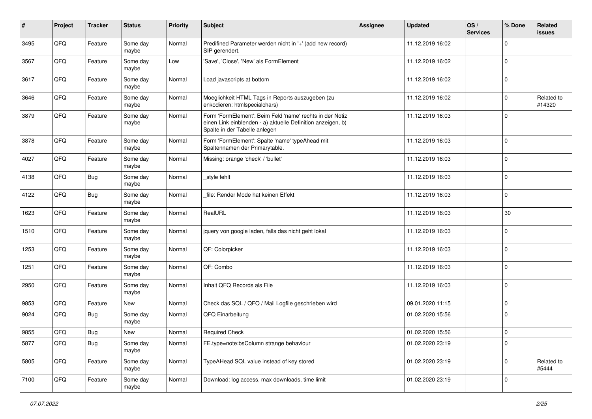| #    | Project | <b>Tracker</b> | <b>Status</b>     | <b>Priority</b> | Subject                                                                                                                                                  | Assignee | <b>Updated</b>   | OS/<br><b>Services</b> | % Done      | Related<br><b>issues</b> |
|------|---------|----------------|-------------------|-----------------|----------------------------------------------------------------------------------------------------------------------------------------------------------|----------|------------------|------------------------|-------------|--------------------------|
| 3495 | QFQ     | Feature        | Some day<br>maybe | Normal          | Predifined Parameter werden nicht in '+' (add new record)<br>SIP gerendert.                                                                              |          | 11.12.2019 16:02 |                        | $\Omega$    |                          |
| 3567 | QFQ     | Feature        | Some day<br>maybe | Low             | 'Save', 'Close', 'New' als FormElement                                                                                                                   |          | 11.12.2019 16:02 |                        | $\mathbf 0$ |                          |
| 3617 | QFQ     | Feature        | Some day<br>maybe | Normal          | Load javascripts at bottom                                                                                                                               |          | 11.12.2019 16:02 |                        | $\Omega$    |                          |
| 3646 | QFQ     | Feature        | Some day<br>maybe | Normal          | Moeglichkeit HTML Tags in Reports auszugeben (zu<br>enkodieren: htmlspecialchars)                                                                        |          | 11.12.2019 16:02 |                        | $\mathbf 0$ | Related to<br>#14320     |
| 3879 | QFQ     | Feature        | Some day<br>maybe | Normal          | Form 'FormElement': Beim Feld 'name' rechts in der Notiz<br>einen Link einblenden - a) aktuelle Definition anzeigen, b)<br>Spalte in der Tabelle anlegen |          | 11.12.2019 16:03 |                        | $\Omega$    |                          |
| 3878 | QFQ     | Feature        | Some day<br>maybe | Normal          | Form 'FormElement': Spalte 'name' typeAhead mit<br>Spaltennamen der Primarytable.                                                                        |          | 11.12.2019 16:03 |                        | $\Omega$    |                          |
| 4027 | QFQ     | Feature        | Some day<br>maybe | Normal          | Missing: orange 'check' / 'bullet'                                                                                                                       |          | 11.12.2019 16:03 |                        | $\Omega$    |                          |
| 4138 | QFQ     | Bug            | Some day<br>maybe | Normal          | _style fehlt                                                                                                                                             |          | 11.12.2019 16:03 |                        | $\Omega$    |                          |
| 4122 | QFQ     | Bug            | Some day<br>maybe | Normal          | file: Render Mode hat keinen Effekt                                                                                                                      |          | 11.12.2019 16:03 |                        | $\mathbf 0$ |                          |
| 1623 | QFQ     | Feature        | Some day<br>maybe | Normal          | RealURL                                                                                                                                                  |          | 11.12.2019 16:03 |                        | 30          |                          |
| 1510 | QFQ     | Feature        | Some day<br>maybe | Normal          | jquery von google laden, falls das nicht geht lokal                                                                                                      |          | 11.12.2019 16:03 |                        | $\Omega$    |                          |
| 1253 | QFQ     | Feature        | Some day<br>maybe | Normal          | QF: Colorpicker                                                                                                                                          |          | 11.12.2019 16:03 |                        | $\mathbf 0$ |                          |
| 1251 | QFQ     | Feature        | Some day<br>maybe | Normal          | QF: Combo                                                                                                                                                |          | 11.12.2019 16:03 |                        | $\mathbf 0$ |                          |
| 2950 | QFQ     | Feature        | Some day<br>maybe | Normal          | Inhalt QFQ Records als File                                                                                                                              |          | 11.12.2019 16:03 |                        | $\Omega$    |                          |
| 9853 | QFQ     | Feature        | New               | Normal          | Check das SQL / QFQ / Mail Logfile geschrieben wird                                                                                                      |          | 09.01.2020 11:15 |                        | $\Omega$    |                          |
| 9024 | QFQ     | Bug            | Some day<br>maybe | Normal          | QFQ Einarbeitung                                                                                                                                         |          | 01.02.2020 15:56 |                        | $\mathbf 0$ |                          |
| 9855 | QFQ     | Bug            | <b>New</b>        | Normal          | <b>Required Check</b>                                                                                                                                    |          | 01.02.2020 15:56 |                        | $\mathbf 0$ |                          |
| 5877 | QFQ     | <b>Bug</b>     | Some day<br>maybe | Normal          | FE.type=note:bsColumn strange behaviour                                                                                                                  |          | 01.02.2020 23:19 |                        | $\mathbf 0$ |                          |
| 5805 | QFQ     | Feature        | Some day<br>maybe | Normal          | TypeAHead SQL value instead of key stored                                                                                                                |          | 01.02.2020 23:19 |                        | $\Omega$    | Related to<br>#5444      |
| 7100 | QFQ     | Feature        | Some day<br>maybe | Normal          | Download: log access, max downloads, time limit                                                                                                          |          | 01.02.2020 23:19 |                        | 0           |                          |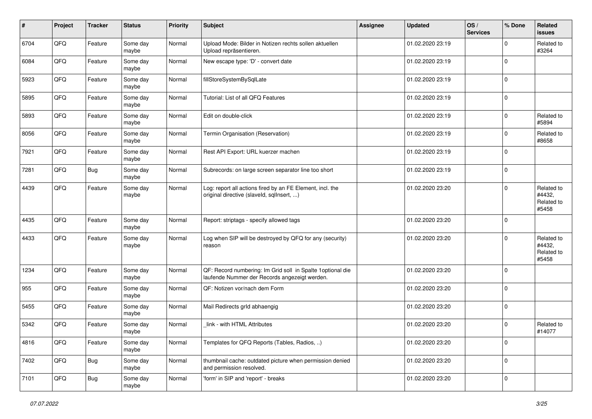| $\sharp$ | Project | <b>Tracker</b> | <b>Status</b>     | <b>Priority</b> | <b>Subject</b>                                                                                              | Assignee | <b>Updated</b>   | OS/<br><b>Services</b> | % Done      | Related<br><b>issues</b>                    |
|----------|---------|----------------|-------------------|-----------------|-------------------------------------------------------------------------------------------------------------|----------|------------------|------------------------|-------------|---------------------------------------------|
| 6704     | QFQ     | Feature        | Some day<br>maybe | Normal          | Upload Mode: Bilder in Notizen rechts sollen aktuellen<br>Upload repräsentieren.                            |          | 01.02.2020 23:19 |                        | $\Omega$    | Related to<br>#3264                         |
| 6084     | QFQ     | Feature        | Some day<br>maybe | Normal          | New escape type: 'D' - convert date                                                                         |          | 01.02.2020 23:19 |                        | $\mathbf 0$ |                                             |
| 5923     | QFQ     | Feature        | Some day<br>maybe | Normal          | fillStoreSystemBySqlLate                                                                                    |          | 01.02.2020 23:19 |                        | $\mathbf 0$ |                                             |
| 5895     | QFQ     | Feature        | Some day<br>maybe | Normal          | Tutorial: List of all QFQ Features                                                                          |          | 01.02.2020 23:19 |                        | $\mathbf 0$ |                                             |
| 5893     | QFQ     | Feature        | Some day<br>maybe | Normal          | Edit on double-click                                                                                        |          | 01.02.2020 23:19 |                        | $\mathbf 0$ | Related to<br>#5894                         |
| 8056     | QFQ     | Feature        | Some day<br>maybe | Normal          | Termin Organisation (Reservation)                                                                           |          | 01.02.2020 23:19 |                        | $\Omega$    | Related to<br>#8658                         |
| 7921     | QFQ     | Feature        | Some day<br>maybe | Normal          | Rest API Export: URL kuerzer machen                                                                         |          | 01.02.2020 23:19 |                        | $\Omega$    |                                             |
| 7281     | QFQ     | Bug            | Some day<br>maybe | Normal          | Subrecords: on large screen separator line too short                                                        |          | 01.02.2020 23:19 |                        | $\mathbf 0$ |                                             |
| 4439     | QFQ     | Feature        | Some day<br>maybe | Normal          | Log: report all actions fired by an FE Element, incl. the<br>original directive (slaveld, sqlInsert, )      |          | 01.02.2020 23:20 |                        | $\Omega$    | Related to<br>#4432,<br>Related to<br>#5458 |
| 4435     | QFQ     | Feature        | Some day<br>maybe | Normal          | Report: striptags - specify allowed tags                                                                    |          | 01.02.2020 23:20 |                        | $\mathbf 0$ |                                             |
| 4433     | QFQ     | Feature        | Some day<br>maybe | Normal          | Log when SIP will be destroyed by QFQ for any (security)<br>reason                                          |          | 01.02.2020 23:20 |                        | $\Omega$    | Related to<br>#4432,<br>Related to<br>#5458 |
| 1234     | QFQ     | Feature        | Some day<br>maybe | Normal          | QF: Record numbering: Im Grid soll in Spalte 1optional die<br>laufende Nummer der Records angezeigt werden. |          | 01.02.2020 23:20 |                        | $\Omega$    |                                             |
| 955      | QFQ     | Feature        | Some day<br>maybe | Normal          | QF: Notizen vor/nach dem Form                                                                               |          | 01.02.2020 23:20 |                        | $\mathbf 0$ |                                             |
| 5455     | QFQ     | Feature        | Some day<br>maybe | Normal          | Mail Redirects grld abhaengig                                                                               |          | 01.02.2020 23:20 |                        | $\mathbf 0$ |                                             |
| 5342     | QFQ     | Feature        | Some day<br>maybe | Normal          | link - with HTML Attributes                                                                                 |          | 01.02.2020 23:20 |                        | $\Omega$    | Related to<br>#14077                        |
| 4816     | QFQ     | Feature        | Some day<br>maybe | Normal          | Templates for QFQ Reports (Tables, Radios, )                                                                |          | 01.02.2020 23:20 |                        | $\mathbf 0$ |                                             |
| 7402     | QFQ     | <b>Bug</b>     | Some day<br>maybe | Normal          | thumbnail cache: outdated picture when permission denied<br>and permission resolved.                        |          | 01.02.2020 23:20 |                        | $\mathbf 0$ |                                             |
| 7101     | QFQ     | Bug            | Some day<br>maybe | Normal          | 'form' in SIP and 'report' - breaks                                                                         |          | 01.02.2020 23:20 |                        | $\mathbf 0$ |                                             |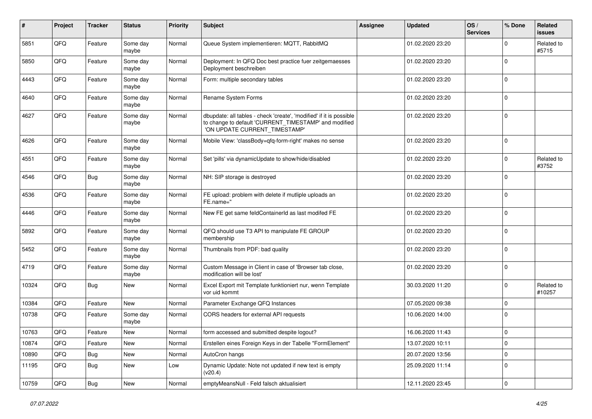| $\pmb{\#}$ | Project | <b>Tracker</b> | <b>Status</b>     | <b>Priority</b> | <b>Subject</b>                                                                                                                                                | <b>Assignee</b> | <b>Updated</b>   | OS/<br><b>Services</b> | % Done      | Related<br>issues    |
|------------|---------|----------------|-------------------|-----------------|---------------------------------------------------------------------------------------------------------------------------------------------------------------|-----------------|------------------|------------------------|-------------|----------------------|
| 5851       | QFQ     | Feature        | Some day<br>maybe | Normal          | Queue System implementieren: MQTT, RabbitMQ                                                                                                                   |                 | 01.02.2020 23:20 |                        | $\Omega$    | Related to<br>#5715  |
| 5850       | QFQ     | Feature        | Some day<br>maybe | Normal          | Deployment: In QFQ Doc best practice fuer zeitgemaesses<br>Deployment beschreiben                                                                             |                 | 01.02.2020 23:20 |                        | 0           |                      |
| 4443       | QFQ     | Feature        | Some day<br>maybe | Normal          | Form: multiple secondary tables                                                                                                                               |                 | 01.02.2020 23:20 |                        | 0           |                      |
| 4640       | QFQ     | Feature        | Some day<br>maybe | Normal          | Rename System Forms                                                                                                                                           |                 | 01.02.2020 23:20 |                        | 0           |                      |
| 4627       | QFQ     | Feature        | Some day<br>maybe | Normal          | dbupdate: all tables - check 'create', 'modified' if it is possible<br>to change to default 'CURRENT_TIMESTAMP' and modified<br>'ON UPDATE CURRENT_TIMESTAMP' |                 | 01.02.2020 23:20 |                        | $\mathbf 0$ |                      |
| 4626       | QFQ     | Feature        | Some day<br>maybe | Normal          | Mobile View: 'classBody=qfq-form-right' makes no sense                                                                                                        |                 | 01.02.2020 23:20 |                        | $\mathbf 0$ |                      |
| 4551       | QFQ     | Feature        | Some day<br>maybe | Normal          | Set 'pills' via dynamicUpdate to show/hide/disabled                                                                                                           |                 | 01.02.2020 23:20 |                        | $\Omega$    | Related to<br>#3752  |
| 4546       | QFQ     | Bug            | Some day<br>maybe | Normal          | NH: SIP storage is destroyed                                                                                                                                  |                 | 01.02.2020 23:20 |                        | $\Omega$    |                      |
| 4536       | QFQ     | Feature        | Some day<br>maybe | Normal          | FE upload: problem with delete if mutliple uploads an<br>FE.name="                                                                                            |                 | 01.02.2020 23:20 |                        | $\mathbf 0$ |                      |
| 4446       | QFQ     | Feature        | Some day<br>maybe | Normal          | New FE get same feldContainerId as last modifed FE                                                                                                            |                 | 01.02.2020 23:20 |                        | $\mathbf 0$ |                      |
| 5892       | QFQ     | Feature        | Some day<br>maybe | Normal          | QFQ should use T3 API to manipulate FE GROUP<br>membership                                                                                                    |                 | 01.02.2020 23:20 |                        | $\Omega$    |                      |
| 5452       | QFQ     | Feature        | Some day<br>maybe | Normal          | Thumbnails from PDF: bad quality                                                                                                                              |                 | 01.02.2020 23:20 |                        | $\Omega$    |                      |
| 4719       | QFQ     | Feature        | Some day<br>maybe | Normal          | Custom Message in Client in case of 'Browser tab close,<br>modification will be lost'                                                                         |                 | 01.02.2020 23:20 |                        | $\Omega$    |                      |
| 10324      | QFQ     | Bug            | <b>New</b>        | Normal          | Excel Export mit Template funktioniert nur, wenn Template<br>vor uid kommt                                                                                    |                 | 30.03.2020 11:20 |                        | $\Omega$    | Related to<br>#10257 |
| 10384      | QFQ     | Feature        | New               | Normal          | Parameter Exchange QFQ Instances                                                                                                                              |                 | 07.05.2020 09:38 |                        | $\Omega$    |                      |
| 10738      | QFQ     | Feature        | Some day<br>maybe | Normal          | CORS headers for external API requests                                                                                                                        |                 | 10.06.2020 14:00 |                        | $\Omega$    |                      |
| 10763      | QFQ     | Feature        | <b>New</b>        | Normal          | form accessed and submitted despite logout?                                                                                                                   |                 | 16.06.2020 11:43 |                        | $\Omega$    |                      |
| 10874      | QFQ     | Feature        | New               | Normal          | Erstellen eines Foreign Keys in der Tabelle "FormElement"                                                                                                     |                 | 13.07.2020 10:11 |                        | $\mathbf 0$ |                      |
| 10890      | QFQ     | <b>Bug</b>     | New               | Normal          | AutoCron hangs                                                                                                                                                |                 | 20.07.2020 13:56 |                        | $\mathbf 0$ |                      |
| 11195      | QFQ     | Bug            | New               | Low             | Dynamic Update: Note not updated if new text is empty<br>(v20.4)                                                                                              |                 | 25.09.2020 11:14 |                        | $\mathbf 0$ |                      |
| 10759      | QFG     | Bug            | New               | Normal          | emptyMeansNull - Feld falsch aktualisiert                                                                                                                     |                 | 12.11.2020 23:45 |                        | $\mathbf 0$ |                      |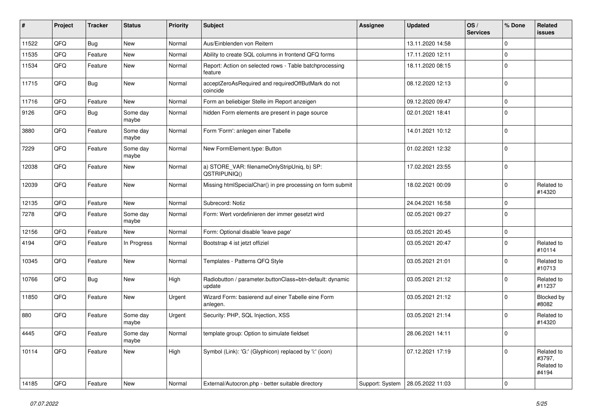| ∦     | Project | <b>Tracker</b> | <b>Status</b>     | <b>Priority</b> | <b>Subject</b>                                                     | <b>Assignee</b> | Updated          | OS/<br><b>Services</b> | % Done         | Related<br><b>issues</b>                    |
|-------|---------|----------------|-------------------|-----------------|--------------------------------------------------------------------|-----------------|------------------|------------------------|----------------|---------------------------------------------|
| 11522 | QFQ     | Bug            | New               | Normal          | Aus/Einblenden von Reitern                                         |                 | 13.11.2020 14:58 |                        | $\Omega$       |                                             |
| 11535 | QFQ     | Feature        | <b>New</b>        | Normal          | Ability to create SQL columns in frontend QFQ forms                |                 | 17.11.2020 12:11 |                        | 0              |                                             |
| 11534 | QFQ     | Feature        | New               | Normal          | Report: Action on selected rows - Table batchprocessing<br>feature |                 | 18.11.2020 08:15 |                        | $\Omega$       |                                             |
| 11715 | QFQ     | Bug            | New               | Normal          | acceptZeroAsRequired and requiredOffButMark do not<br>coincide     |                 | 08.12.2020 12:13 |                        | $\Omega$       |                                             |
| 11716 | QFQ     | Feature        | New               | Normal          | Form an beliebiger Stelle im Report anzeigen                       |                 | 09.12.2020 09:47 |                        | $\mathbf 0$    |                                             |
| 9126  | QFQ     | <b>Bug</b>     | Some day<br>maybe | Normal          | hidden Form elements are present in page source                    |                 | 02.01.2021 18:41 |                        | 0              |                                             |
| 3880  | QFQ     | Feature        | Some day<br>maybe | Normal          | Form 'Form': anlegen einer Tabelle                                 |                 | 14.01.2021 10:12 |                        | 0              |                                             |
| 7229  | QFQ     | Feature        | Some day<br>maybe | Normal          | New FormElement.type: Button                                       |                 | 01.02.2021 12:32 |                        | $\mathbf 0$    |                                             |
| 12038 | QFQ     | Feature        | New               | Normal          | a) STORE_VAR: filenameOnlyStripUniq, b) SP:<br>QSTRIPUNIQ()        |                 | 17.02.2021 23:55 |                        | $\Omega$       |                                             |
| 12039 | QFQ     | Feature        | <b>New</b>        | Normal          | Missing htmlSpecialChar() in pre processing on form submit         |                 | 18.02.2021 00:09 |                        | $\Omega$       | Related to<br>#14320                        |
| 12135 | QFQ     | Feature        | New               | Normal          | Subrecord: Notiz                                                   |                 | 24.04.2021 16:58 |                        | $\mathbf 0$    |                                             |
| 7278  | QFQ     | Feature        | Some day<br>maybe | Normal          | Form: Wert vordefinieren der immer gesetzt wird                    |                 | 02.05.2021 09:27 |                        | $\Omega$       |                                             |
| 12156 | QFQ     | Feature        | New               | Normal          | Form: Optional disable 'leave page'                                |                 | 03.05.2021 20:45 |                        | $\mathbf 0$    |                                             |
| 4194  | QFQ     | Feature        | In Progress       | Normal          | Bootstrap 4 ist jetzt offiziel                                     |                 | 03.05.2021 20:47 |                        | $\Omega$       | Related to<br>#10114                        |
| 10345 | QFQ     | Feature        | New               | Normal          | Templates - Patterns QFQ Style                                     |                 | 03.05.2021 21:01 |                        | $\Omega$       | Related to<br>#10713                        |
| 10766 | QFQ     | Bug            | New               | High            | Radiobutton / parameter.buttonClass=btn-default: dynamic<br>update |                 | 03.05.2021 21:12 |                        | 0              | Related to<br>#11237                        |
| 11850 | QFQ     | Feature        | <b>New</b>        | Urgent          | Wizard Form: basierend auf einer Tabelle eine Form<br>anlegen.     |                 | 03.05.2021 21:12 |                        | $\Omega$       | Blocked by<br>#8082                         |
| 880   | QFQ     | Feature        | Some day<br>maybe | Urgent          | Security: PHP, SQL Injection, XSS                                  |                 | 03.05.2021 21:14 |                        | $\Omega$       | Related to<br>#14320                        |
| 4445  | QFG     | Feature        | Some day<br>maybe | Normal          | template group: Option to simulate fieldset                        |                 | 28.06.2021 14:11 |                        | $\overline{0}$ |                                             |
| 10114 | QFQ     | Feature        | New               | High            | Symbol (Link): 'G:' (Glyphicon) replaced by 'i:' (icon)            |                 | 07.12.2021 17:19 |                        | 0              | Related to<br>#3797,<br>Related to<br>#4194 |
| 14185 | QFG     | Feature        | New               | Normal          | External/Autocron.php - better suitable directory                  | Support: System | 28.05.2022 11:03 |                        | 0              |                                             |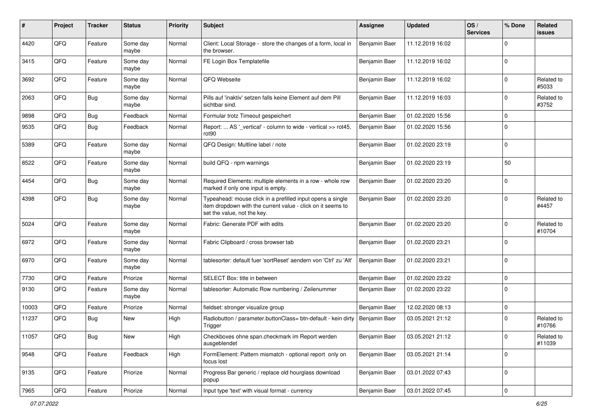| $\#$  | Project | <b>Tracker</b> | <b>Status</b>     | <b>Priority</b> | <b>Subject</b>                                                                                                                                           | <b>Assignee</b> | <b>Updated</b>   | OS/<br><b>Services</b> | % Done      | Related<br>issues    |
|-------|---------|----------------|-------------------|-----------------|----------------------------------------------------------------------------------------------------------------------------------------------------------|-----------------|------------------|------------------------|-------------|----------------------|
| 4420  | QFQ     | Feature        | Some day<br>maybe | Normal          | Client: Local Storage - store the changes of a form, local in<br>the browser.                                                                            | Benjamin Baer   | 11.12.2019 16:02 |                        | $\Omega$    |                      |
| 3415  | QFQ     | Feature        | Some day<br>maybe | Normal          | FE Login Box Templatefile                                                                                                                                | Benjamin Baer   | 11.12.2019 16:02 |                        | 0           |                      |
| 3692  | QFQ     | Feature        | Some day<br>maybe | Normal          | QFQ Webseite                                                                                                                                             | Benjamin Baer   | 11.12.2019 16:02 |                        | 0           | Related to<br>#5033  |
| 2063  | QFQ     | Bug            | Some day<br>maybe | Normal          | Pills auf 'inaktiv' setzen falls keine Element auf dem Pill<br>sichtbar sind.                                                                            | Benjamin Baer   | 11.12.2019 16:03 |                        | 0           | Related to<br>#3752  |
| 9898  | QFQ     | <b>Bug</b>     | Feedback          | Normal          | Formular trotz Timeout gespeichert                                                                                                                       | Benjamin Baer   | 01.02.2020 15:56 |                        | $\mathbf 0$ |                      |
| 9535  | QFQ     | Bug            | Feedback          | Normal          | Report:  AS '_vertical' - column to wide - vertical >> rot45,<br>rot <sub>90</sub>                                                                       | Benjamin Baer   | 01.02.2020 15:56 |                        | $\Omega$    |                      |
| 5389  | QFQ     | Feature        | Some day<br>maybe | Normal          | QFQ Design: Multline label / note                                                                                                                        | Benjamin Baer   | 01.02.2020 23:19 |                        | $\mathbf 0$ |                      |
| 8522  | QFQ     | Feature        | Some day<br>maybe | Normal          | build QFQ - npm warnings                                                                                                                                 | Benjamin Baer   | 01.02.2020 23:19 |                        | 50          |                      |
| 4454  | QFQ     | <b>Bug</b>     | Some day<br>maybe | Normal          | Required Elements: multiple elements in a row - whole row<br>marked if only one input is empty.                                                          | Benjamin Baer   | 01.02.2020 23:20 |                        | $\Omega$    |                      |
| 4398  | QFQ     | Bug            | Some day<br>maybe | Normal          | Typeahead: mouse click in a prefilled input opens a single<br>item dropdown with the current value - click on it seems to<br>set the value, not the key. | Benjamin Baer   | 01.02.2020 23:20 |                        | 0           | Related to<br>#4457  |
| 5024  | QFQ     | Feature        | Some day<br>maybe | Normal          | Fabric: Generate PDF with edits                                                                                                                          | Benjamin Baer   | 01.02.2020 23:20 |                        | $\Omega$    | Related to<br>#10704 |
| 6972  | QFQ     | Feature        | Some day<br>maybe | Normal          | Fabric Clipboard / cross browser tab                                                                                                                     | Benjamin Baer   | 01.02.2020 23:21 |                        | $\Omega$    |                      |
| 6970  | QFQ     | Feature        | Some day<br>maybe | Normal          | tablesorter: default fuer 'sortReset' aendern von 'Ctrl' zu 'Alt'                                                                                        | Benjamin Baer   | 01.02.2020 23:21 |                        | $\Omega$    |                      |
| 7730  | QFQ     | Feature        | Priorize          | Normal          | SELECT Box: title in between                                                                                                                             | Benjamin Baer   | 01.02.2020 23:22 |                        | $\Omega$    |                      |
| 9130  | QFQ     | Feature        | Some day<br>maybe | Normal          | tablesorter: Automatic Row numbering / Zeilenummer                                                                                                       | Benjamin Baer   | 01.02.2020 23:22 |                        | $\Omega$    |                      |
| 10003 | QFQ     | Feature        | Priorize          | Normal          | fieldset: stronger visualize group                                                                                                                       | Benjamin Baer   | 12.02.2020 08:13 |                        | $\mathbf 0$ |                      |
| 11237 | QFQ     | <b>Bug</b>     | New               | High            | Radiobutton / parameter.buttonClass= btn-default - kein dirty<br>Trigger                                                                                 | Benjamin Baer   | 03.05.2021 21:12 |                        | $\Omega$    | Related to<br>#10766 |
| 11057 | QFQ     | Bug            | New               | High            | Checkboxes ohne span.checkmark im Report werden<br>ausgeblendet                                                                                          | Benjamin Baer   | 03.05.2021 21:12 |                        | U           | Related to<br>#11039 |
| 9548  | QFQ     | Feature        | Feedback          | High            | FormElement: Pattern mismatch - optional report only on<br>focus lost                                                                                    | Benjamin Baer   | 03.05.2021 21:14 |                        | 0           |                      |
| 9135  | QFQ     | Feature        | Priorize          | Normal          | Progress Bar generic / replace old hourglass download<br>popup                                                                                           | Benjamin Baer   | 03.01.2022 07:43 |                        | 0           |                      |
| 7965  | QFQ     | Feature        | Priorize          | Normal          | Input type 'text' with visual format - currency                                                                                                          | Benjamin Baer   | 03.01.2022 07:45 |                        | 0           |                      |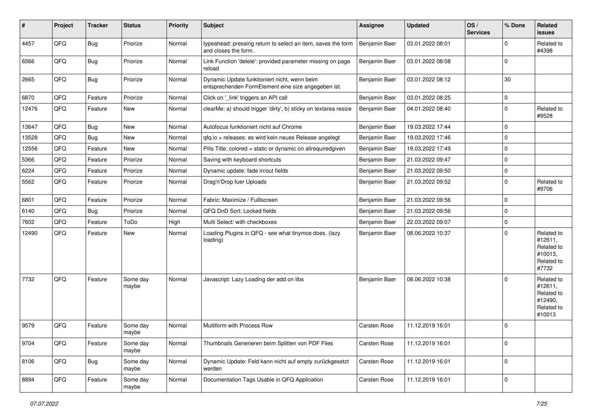| #     | Project | <b>Tracker</b> | <b>Status</b>     | <b>Priority</b> | Subject                                                                                             | <b>Assignee</b>     | <b>Updated</b>   | OS/<br><b>Services</b> | % Done      | Related<br>issues                                                      |
|-------|---------|----------------|-------------------|-----------------|-----------------------------------------------------------------------------------------------------|---------------------|------------------|------------------------|-------------|------------------------------------------------------------------------|
| 4457  | QFQ     | <b>Bug</b>     | Priorize          | Normal          | typeahead: pressing return to select an item, saves the form<br>and closes the form.                | Benjamin Baer       | 03.01.2022 08:01 |                        | 0           | Related to<br>#4398                                                    |
| 6566  | QFQ     | <b>Bug</b>     | Priorize          | Normal          | Link Function 'delete': provided parameter missing on page<br>reload                                | Benjamin Baer       | 03.01.2022 08:08 |                        | $\Omega$    |                                                                        |
| 2665  | QFQ     | Bug            | Priorize          | Normal          | Dynamic Update funktioniert nicht, wenn beim<br>entsprechenden FormElement eine size angegeben ist. | Benjamin Baer       | 03.01.2022 08:12 |                        | 30          |                                                                        |
| 6870  | QFQ     | Feature        | Priorize          | Normal          | Click on '_link' triggers an API call                                                               | Benjamin Baer       | 03.01.2022 08:25 |                        | $\mathbf 0$ |                                                                        |
| 12476 | QFQ     | Feature        | New               | Normal          | clearMe: a) should trigger 'dirty', b) sticky on textarea resize                                    | Benjamin Baer       | 04.01.2022 08:40 |                        | 0           | Related to<br>#9528                                                    |
| 13647 | QFQ     | <b>Bug</b>     | <b>New</b>        | Normal          | Autofocus funktioniert nicht auf Chrome                                                             | Benjamin Baer       | 19.03.2022 17:44 |                        | $\mathbf 0$ |                                                                        |
| 13528 | QFQ     | Bug            | <b>New</b>        | Normal          | qfq.io > releases: es wird kein neues Release angelegt                                              | Benjamin Baer       | 19.03.2022 17:46 |                        | $\mathbf 0$ |                                                                        |
| 12556 | QFQ     | Feature        | <b>New</b>        | Normal          | Pills Title: colored = static or dynamic on allrequiredgiven                                        | Benjamin Baer       | 19.03.2022 17:49 |                        | 0           |                                                                        |
| 5366  | QFQ     | Feature        | Priorize          | Normal          | Saving with keyboard shortcuts                                                                      | Benjamin Baer       | 21.03.2022 09:47 |                        | 0           |                                                                        |
| 6224  | QFQ     | Feature        | Priorize          | Normal          | Dynamic update: fade in/out fields                                                                  | Benjamin Baer       | 21.03.2022 09:50 |                        | $\mathbf 0$ |                                                                        |
| 5562  | QFQ     | Feature        | Priorize          | Normal          | Drag'n'Drop fuer Uploads                                                                            | Benjamin Baer       | 21.03.2022 09:52 |                        | $\mathbf 0$ | Related to<br>#9706                                                    |
| 6801  | QFQ     | Feature        | Priorize          | Normal          | Fabric: Maximize / FullIscreen                                                                      | Benjamin Baer       | 21.03.2022 09:56 |                        | $\Omega$    |                                                                        |
| 6140  | QFQ     | Bug            | Priorize          | Normal          | QFQ DnD Sort: Locked fields                                                                         | Benjamin Baer       | 21.03.2022 09:56 |                        | $\Omega$    |                                                                        |
| 7602  | QFQ     | Feature        | ToDo              | High            | Multi Select: with checkboxes                                                                       | Benjamin Baer       | 22.03.2022 09:07 |                        | $\mathbf 0$ |                                                                        |
| 12490 | QFQ     | Feature        | New               | Normal          | Loading Plugins in QFQ - see what tinymce does. (lazy<br>loading)                                   | Benjamin Baer       | 08.06.2022 10:37 |                        | 0           | Related to<br>#12611,<br>Related to<br>#10013,<br>Related to<br>#7732  |
| 7732  | QFQ     | Feature        | Some day<br>maybe | Normal          | Javascript: Lazy Loading der add on libs                                                            | Benjamin Baer       | 08.06.2022 10:38 |                        | 0           | Related to<br>#12611,<br>Related to<br>#12490,<br>Related to<br>#10013 |
| 9579  | QFQ     | Feature        | Some day<br>maybe | Normal          | Multiform with Process Row                                                                          | <b>Carsten Rose</b> | 11.12.2019 16:01 |                        | $\Omega$    |                                                                        |
| 9704  | QFQ     | Feature        | Some day<br>maybe | Normal          | Thumbnails Generieren beim Splitten von PDF Files                                                   | Carsten Rose        | 11.12.2019 16:01 |                        | $\mathbf 0$ |                                                                        |
| 8106  | QFQ     | <b>Bug</b>     | Some day<br>maybe | Normal          | Dynamic Update: Feld kann nicht auf empty zurückgesetzt<br>werden                                   | Carsten Rose        | 11.12.2019 16:01 |                        | $\mathbf 0$ |                                                                        |
| 8894  | QFQ     | Feature        | Some day<br>maybe | Normal          | Documentation Tags Usable in QFQ Application                                                        | Carsten Rose        | 11.12.2019 16:01 |                        | 0           |                                                                        |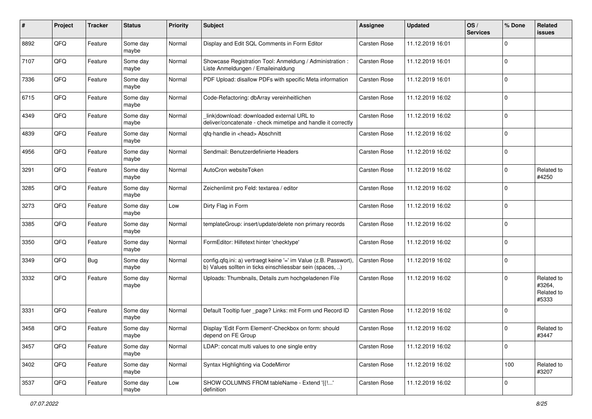| #    | Project | <b>Tracker</b> | <b>Status</b>     | <b>Priority</b> | <b>Subject</b>                                                                                                                | <b>Assignee</b>     | <b>Updated</b>   | OS/<br><b>Services</b> | % Done      | Related<br>issues                           |
|------|---------|----------------|-------------------|-----------------|-------------------------------------------------------------------------------------------------------------------------------|---------------------|------------------|------------------------|-------------|---------------------------------------------|
| 8892 | QFQ     | Feature        | Some day<br>maybe | Normal          | Display and Edit SQL Comments in Form Editor                                                                                  | <b>Carsten Rose</b> | 11.12.2019 16:01 |                        | $\Omega$    |                                             |
| 7107 | QFQ     | Feature        | Some day<br>maybe | Normal          | Showcase Registration Tool: Anmeldung / Administration :<br>Liste Anmeldungen / Emaileinaldung                                | <b>Carsten Rose</b> | 11.12.2019 16:01 |                        | 0           |                                             |
| 7336 | QFQ     | Feature        | Some day<br>maybe | Normal          | PDF Upload: disallow PDFs with specific Meta information                                                                      | Carsten Rose        | 11.12.2019 16:01 |                        | $\Omega$    |                                             |
| 6715 | QFQ     | Feature        | Some day<br>maybe | Normal          | Code-Refactoring: dbArray vereinheitlichen                                                                                    | <b>Carsten Rose</b> | 11.12.2019 16:02 |                        | 0           |                                             |
| 4349 | QFQ     | Feature        | Some day<br>maybe | Normal          | link download: downloaded external URL to<br>deliver/concatenate - check mimetipe and handle it correctly                     | <b>Carsten Rose</b> | 11.12.2019 16:02 |                        | $\Omega$    |                                             |
| 4839 | QFQ     | Feature        | Some day<br>maybe | Normal          | qfq-handle in <head> Abschnitt</head>                                                                                         | Carsten Rose        | 11.12.2019 16:02 |                        | $\Omega$    |                                             |
| 4956 | QFQ     | Feature        | Some day<br>maybe | Normal          | Sendmail: Benutzerdefinierte Headers                                                                                          | <b>Carsten Rose</b> | 11.12.2019 16:02 |                        | $\Omega$    |                                             |
| 3291 | QFQ     | Feature        | Some day<br>maybe | Normal          | AutoCron websiteToken                                                                                                         | <b>Carsten Rose</b> | 11.12.2019 16:02 |                        | 0           | Related to<br>#4250                         |
| 3285 | QFQ     | Feature        | Some day<br>maybe | Normal          | Zeichenlimit pro Feld: textarea / editor                                                                                      | <b>Carsten Rose</b> | 11.12.2019 16:02 |                        | 0           |                                             |
| 3273 | QFQ     | Feature        | Some day<br>maybe | Low             | Dirty Flag in Form                                                                                                            | <b>Carsten Rose</b> | 11.12.2019 16:02 |                        | 0           |                                             |
| 3385 | QFQ     | Feature        | Some day<br>maybe | Normal          | templateGroup: insert/update/delete non primary records                                                                       | <b>Carsten Rose</b> | 11.12.2019 16:02 |                        | 0           |                                             |
| 3350 | QFQ     | Feature        | Some day<br>maybe | Normal          | FormEditor: Hilfetext hinter 'checktype'                                                                                      | <b>Carsten Rose</b> | 11.12.2019 16:02 |                        | $\mathbf 0$ |                                             |
| 3349 | QFQ     | Bug            | Some day<br>maybe | Normal          | config.qfq.ini: a) vertraegt keine '=' im Value (z.B. Passwort),<br>b) Values sollten in ticks einschliessbar sein (spaces, ) | <b>Carsten Rose</b> | 11.12.2019 16:02 |                        | $\Omega$    |                                             |
| 3332 | QFQ     | Feature        | Some day<br>maybe | Normal          | Uploads: Thumbnails, Details zum hochgeladenen File                                                                           | <b>Carsten Rose</b> | 11.12.2019 16:02 |                        | $\Omega$    | Related to<br>#3264,<br>Related to<br>#5333 |
| 3331 | QFQ     | Feature        | Some day<br>maybe | Normal          | Default Tooltip fuer _page? Links: mit Form und Record ID                                                                     | Carsten Rose        | 11.12.2019 16:02 |                        | $\Omega$    |                                             |
| 3458 | QFQ     | Feature        | Some day<br>maybe | Normal          | Display 'Edit Form Element'-Checkbox on form: should<br>depend on FE Group                                                    | Carsten Rose        | 11.12.2019 16:02 |                        | 0           | Related to<br>#3447                         |
| 3457 | QFQ     | Feature        | Some day<br>maybe | Normal          | LDAP: concat multi values to one single entry                                                                                 | Carsten Rose        | 11.12.2019 16:02 |                        | 0           |                                             |
| 3402 | QFQ     | Feature        | Some day<br>maybe | Normal          | Syntax Highlighting via CodeMirror                                                                                            | Carsten Rose        | 11.12.2019 16:02 |                        | 100         | Related to<br>#3207                         |
| 3537 | QFQ     | Feature        | Some day<br>maybe | Low             | SHOW COLUMNS FROM tableName - Extend '{{!'<br>definition                                                                      | Carsten Rose        | 11.12.2019 16:02 |                        | 0           |                                             |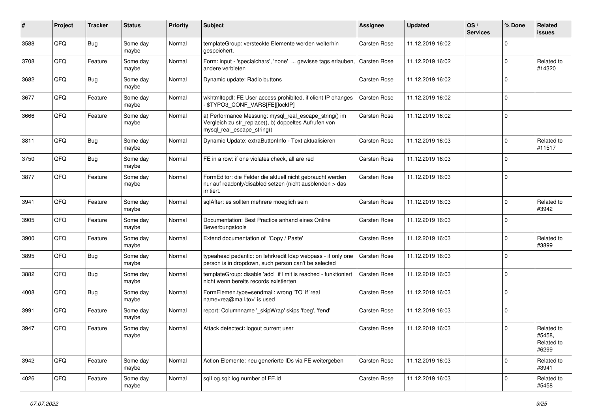| ∦    | Project | <b>Tracker</b> | <b>Status</b>     | <b>Priority</b> | Subject                                                                                                                                      | <b>Assignee</b>     | <b>Updated</b>   | OS/<br><b>Services</b> | % Done      | Related<br>issues                           |
|------|---------|----------------|-------------------|-----------------|----------------------------------------------------------------------------------------------------------------------------------------------|---------------------|------------------|------------------------|-------------|---------------------------------------------|
| 3588 | QFQ     | Bug            | Some day<br>maybe | Normal          | templateGroup: versteckte Elemente werden weiterhin<br>gespeichert.                                                                          | <b>Carsten Rose</b> | 11.12.2019 16:02 |                        | $\Omega$    |                                             |
| 3708 | QFQ     | Feature        | Some day<br>maybe | Normal          | Form: input - 'specialchars', 'none'  gewisse tags erlauben,<br>andere verbieten                                                             | <b>Carsten Rose</b> | 11.12.2019 16:02 |                        | $\Omega$    | Related to<br>#14320                        |
| 3682 | QFQ     | Bug            | Some day<br>maybe | Normal          | Dynamic update: Radio buttons                                                                                                                | <b>Carsten Rose</b> | 11.12.2019 16:02 |                        | $\Omega$    |                                             |
| 3677 | QFQ     | Feature        | Some day<br>maybe | Normal          | wkhtmltopdf: FE User access prohibited, if client IP changes<br>\$TYPO3_CONF_VARS[FE][lockIP]                                                | <b>Carsten Rose</b> | 11.12.2019 16:02 |                        | 0           |                                             |
| 3666 | QFQ     | Feature        | Some day<br>maybe | Normal          | a) Performance Messung: mysql_real_escape_string() im<br>Vergleich zu str_replace(), b) doppeltes Aufrufen von<br>mysql_real_escape_string() | <b>Carsten Rose</b> | 11.12.2019 16:02 |                        | $\Omega$    |                                             |
| 3811 | QFQ     | Bug            | Some day<br>maybe | Normal          | Dynamic Update: extraButtonInfo - Text aktualisieren                                                                                         | <b>Carsten Rose</b> | 11.12.2019 16:03 |                        | $\Omega$    | Related to<br>#11517                        |
| 3750 | QFQ     | Bug            | Some day<br>maybe | Normal          | FE in a row: if one violates check, all are red                                                                                              | <b>Carsten Rose</b> | 11.12.2019 16:03 |                        | $\Omega$    |                                             |
| 3877 | QFQ     | Feature        | Some day<br>maybe | Normal          | FormEditor: die Felder die aktuell nicht gebraucht werden<br>nur auf readonly/disabled setzen (nicht ausblenden > das<br>irritiert.          | <b>Carsten Rose</b> | 11.12.2019 16:03 |                        | $\Omega$    |                                             |
| 3941 | QFQ     | Feature        | Some day<br>maybe | Normal          | sqlAfter: es sollten mehrere moeglich sein                                                                                                   | <b>Carsten Rose</b> | 11.12.2019 16:03 |                        | $\Omega$    | Related to<br>#3942                         |
| 3905 | QFQ     | Feature        | Some day<br>maybe | Normal          | Documentation: Best Practice anhand eines Online<br>Bewerbungstools                                                                          | <b>Carsten Rose</b> | 11.12.2019 16:03 |                        | $\mathbf 0$ |                                             |
| 3900 | QFQ     | Feature        | Some day<br>maybe | Normal          | Extend documentation of 'Copy / Paste'                                                                                                       | <b>Carsten Rose</b> | 11.12.2019 16:03 |                        | $\Omega$    | Related to<br>#3899                         |
| 3895 | QFQ     | <b>Bug</b>     | Some day<br>maybe | Normal          | typeahead pedantic: on lehrkredit Idap webpass - if only one<br>person is in dropdown, such person can't be selected                         | Carsten Rose        | 11.12.2019 16:03 |                        | $\Omega$    |                                             |
| 3882 | QFQ     | Bug            | Some day<br>maybe | Normal          | templateGroup: disable 'add' if limit is reached - funktioniert<br>nicht wenn bereits records existierten                                    | Carsten Rose        | 11.12.2019 16:03 |                        | $\Omega$    |                                             |
| 4008 | QFQ     | Bug            | Some day<br>maybe | Normal          | FormElemen.type=sendmail: wrong 'TO' if 'real<br>name <rea@mail.to>' is used</rea@mail.to>                                                   | <b>Carsten Rose</b> | 11.12.2019 16:03 |                        | $\Omega$    |                                             |
| 3991 | QFQ     | Feature        | Some day<br>maybe | Normal          | report: Columnname '_skipWrap' skips 'fbeg', 'fend'                                                                                          | <b>Carsten Rose</b> | 11.12.2019 16:03 |                        | $\Omega$    |                                             |
| 3947 | QFQ     | Feature        | Some day<br>maybe | Normal          | Attack detectect: logout current user                                                                                                        | <b>Carsten Rose</b> | 11.12.2019 16:03 |                        | $\Omega$    | Related to<br>#5458,<br>Related to<br>#6299 |
| 3942 | QFQ     | Feature        | Some day<br>maybe | Normal          | Action Elemente: neu generierte IDs via FE weitergeben                                                                                       | Carsten Rose        | 11.12.2019 16:03 |                        | 0           | Related to<br>#3941                         |
| 4026 | QFQ     | Feature        | Some day<br>maybe | Normal          | sqlLog.sql: log number of FE.id                                                                                                              | Carsten Rose        | 11.12.2019 16:03 |                        | 0           | Related to<br>#5458                         |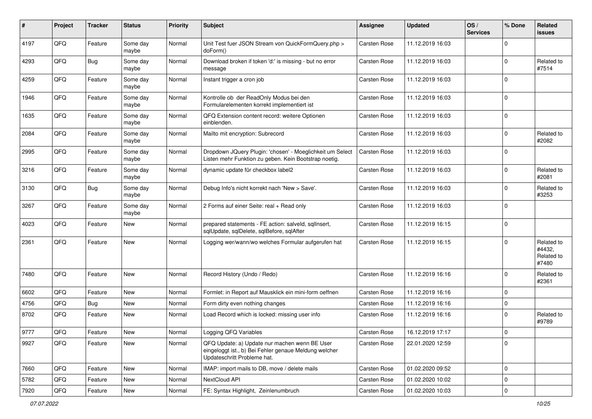| #    | Project | <b>Tracker</b> | <b>Status</b>     | <b>Priority</b> | Subject                                                                                                                               | <b>Assignee</b>     | <b>Updated</b>   | OS/<br><b>Services</b> | % Done      | Related<br>issues                           |
|------|---------|----------------|-------------------|-----------------|---------------------------------------------------------------------------------------------------------------------------------------|---------------------|------------------|------------------------|-------------|---------------------------------------------|
| 4197 | QFQ     | Feature        | Some day<br>maybe | Normal          | Unit Test fuer JSON Stream von QuickFormQuery.php ><br>doForm()                                                                       | <b>Carsten Rose</b> | 11.12.2019 16:03 |                        | $\Omega$    |                                             |
| 4293 | QFQ     | Bug            | Some day<br>maybe | Normal          | Download broken if token 'd:' is missing - but no error<br>message                                                                    | <b>Carsten Rose</b> | 11.12.2019 16:03 |                        | $\Omega$    | Related to<br>#7514                         |
| 4259 | QFQ     | Feature        | Some day<br>maybe | Normal          | Instant trigger a cron job                                                                                                            | <b>Carsten Rose</b> | 11.12.2019 16:03 |                        | $\Omega$    |                                             |
| 1946 | QFQ     | Feature        | Some day<br>maybe | Normal          | Kontrolle ob der ReadOnly Modus bei den<br>Formularelementen korrekt implementiert ist                                                | <b>Carsten Rose</b> | 11.12.2019 16:03 |                        | $\mathbf 0$ |                                             |
| 1635 | QFQ     | Feature        | Some day<br>maybe | Normal          | QFQ Extension content record: weitere Optionen<br>einblenden.                                                                         | <b>Carsten Rose</b> | 11.12.2019 16:03 |                        | $\Omega$    |                                             |
| 2084 | QFQ     | Feature        | Some day<br>maybe | Normal          | Mailto mit encryption: Subrecord                                                                                                      | Carsten Rose        | 11.12.2019 16:03 |                        | $\Omega$    | Related to<br>#2082                         |
| 2995 | QFQ     | Feature        | Some day<br>maybe | Normal          | Dropdown JQuery Plugin: 'chosen' - Moeglichkeit um Select<br>Listen mehr Funktion zu geben. Kein Bootstrap noetig.                    | <b>Carsten Rose</b> | 11.12.2019 16:03 |                        | $\Omega$    |                                             |
| 3216 | QFQ     | Feature        | Some day<br>maybe | Normal          | dynamic update für checkbox label2                                                                                                    | <b>Carsten Rose</b> | 11.12.2019 16:03 |                        | 0           | Related to<br>#2081                         |
| 3130 | QFQ     | Bug            | Some day<br>maybe | Normal          | Debug Info's nicht korrekt nach 'New > Save'.                                                                                         | <b>Carsten Rose</b> | 11.12.2019 16:03 |                        | $\Omega$    | Related to<br>#3253                         |
| 3267 | QFQ     | Feature        | Some day<br>maybe | Normal          | 2 Forms auf einer Seite: real + Read only                                                                                             | <b>Carsten Rose</b> | 11.12.2019 16:03 |                        | $\Omega$    |                                             |
| 4023 | QFQ     | Feature        | New               | Normal          | prepared statements - FE action: salveld, sqllnsert,<br>sqlUpdate, sqlDelete, sqlBefore, sqlAfter                                     | <b>Carsten Rose</b> | 11.12.2019 16:15 |                        | $\mathbf 0$ |                                             |
| 2361 | QFQ     | Feature        | <b>New</b>        | Normal          | Logging wer/wann/wo welches Formular aufgerufen hat                                                                                   | <b>Carsten Rose</b> | 11.12.2019 16:15 |                        | $\Omega$    | Related to<br>#4432,<br>Related to<br>#7480 |
| 7480 | QFQ     | Feature        | New               | Normal          | Record History (Undo / Redo)                                                                                                          | Carsten Rose        | 11.12.2019 16:16 |                        | $\Omega$    | Related to<br>#2361                         |
| 6602 | QFQ     | Feature        | New               | Normal          | Formlet: in Report auf Mausklick ein mini-form oeffnen                                                                                | <b>Carsten Rose</b> | 11.12.2019 16:16 |                        | $\mathbf 0$ |                                             |
| 4756 | QFQ     | Bug            | <b>New</b>        | Normal          | Form dirty even nothing changes                                                                                                       | <b>Carsten Rose</b> | 11.12.2019 16:16 |                        | 0           |                                             |
| 8702 | QFQ     | Feature        | New               | Normal          | Load Record which is locked: missing user info                                                                                        | Carsten Rose        | 11.12.2019 16:16 |                        | $\Omega$    | Related to<br>#9789                         |
| 9777 | QFQ     | Feature        | <b>New</b>        | Normal          | Logging QFQ Variables                                                                                                                 | <b>Carsten Rose</b> | 16.12.2019 17:17 |                        | 0           |                                             |
| 9927 | QFQ     | Feature        | New               | Normal          | QFQ Update: a) Update nur machen wenn BE User<br>eingeloggt ist., b) Bei Fehler genaue Meldung welcher<br>Updateschritt Probleme hat. | Carsten Rose        | 22.01.2020 12:59 |                        | 0           |                                             |
| 7660 | QFQ     | Feature        | New               | Normal          | IMAP: import mails to DB, move / delete mails                                                                                         | Carsten Rose        | 01.02.2020 09:52 |                        | $\mathbf 0$ |                                             |
| 5782 | QFQ     | Feature        | New               | Normal          | NextCloud API                                                                                                                         | Carsten Rose        | 01.02.2020 10:02 |                        | $\mathbf 0$ |                                             |
| 7920 | QFQ     | Feature        | New               | Normal          | FE: Syntax Highlight, Zeinlenumbruch                                                                                                  | <b>Carsten Rose</b> | 01.02.2020 10:03 |                        | $\mathbf 0$ |                                             |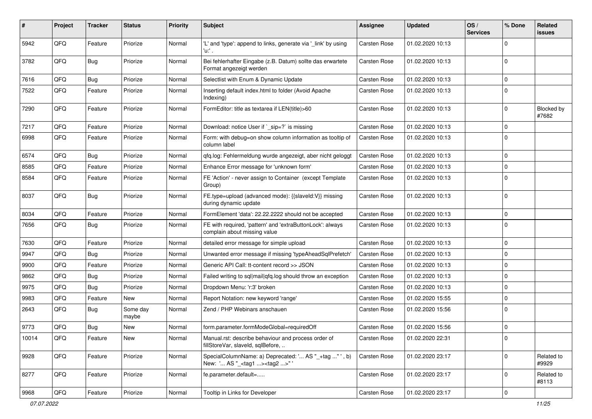| #     | Project | <b>Tracker</b> | <b>Status</b>     | <b>Priority</b> | <b>Subject</b>                                                                                      | Assignee            | <b>Updated</b>   | OS/<br><b>Services</b> | % Done      | Related<br>issues   |
|-------|---------|----------------|-------------------|-----------------|-----------------------------------------------------------------------------------------------------|---------------------|------------------|------------------------|-------------|---------------------|
| 5942  | QFQ     | Feature        | Priorize          | Normal          | 'L' and 'type': append to links, generate via '_link' by using<br>'u:' .                            | <b>Carsten Rose</b> | 01.02.2020 10:13 |                        | $\Omega$    |                     |
| 3782  | QFQ     | <b>Bug</b>     | Priorize          | Normal          | Bei fehlerhafter Eingabe (z.B. Datum) sollte das erwartete<br>Format angezeigt werden               | <b>Carsten Rose</b> | 01.02.2020 10:13 |                        | $\Omega$    |                     |
| 7616  | QFQ     | Bug            | Priorize          | Normal          | Selectlist with Enum & Dynamic Update                                                               | <b>Carsten Rose</b> | 01.02.2020 10:13 |                        | 0           |                     |
| 7522  | QFQ     | Feature        | Priorize          | Normal          | Inserting default index.html to folder (Avoid Apache<br>Indexing)                                   | Carsten Rose        | 01.02.2020 10:13 |                        | $\Omega$    |                     |
| 7290  | QFQ     | Feature        | Priorize          | Normal          | FormEditor: title as textarea if LEN(title)>60                                                      | <b>Carsten Rose</b> | 01.02.2020 10:13 |                        | $\Omega$    | Blocked by<br>#7682 |
| 7217  | QFQ     | Feature        | Priorize          | Normal          | Download: notice User if `_sip=?` is missing                                                        | <b>Carsten Rose</b> | 01.02.2020 10:13 |                        | $\mathbf 0$ |                     |
| 6998  | QFQ     | Feature        | Priorize          | Normal          | Form: with debug=on show column information as tooltip of<br>column label                           | Carsten Rose        | 01.02.2020 10:13 |                        | $\Omega$    |                     |
| 6574  | QFQ     | Bug            | Priorize          | Normal          | gfg.log: Fehlermeldung wurde angezeigt, aber nicht geloggt                                          | <b>Carsten Rose</b> | 01.02.2020 10:13 |                        | $\Omega$    |                     |
| 8585  | QFQ     | Feature        | Priorize          | Normal          | Enhance Error message for 'unknown form'                                                            | Carsten Rose        | 01.02.2020 10:13 |                        | $\mathbf 0$ |                     |
| 8584  | QFQ     | Feature        | Priorize          | Normal          | FE 'Action' - never assign to Container (except Template<br>Group)                                  | <b>Carsten Rose</b> | 01.02.2020 10:13 |                        | $\Omega$    |                     |
| 8037  | QFQ     | Bug            | Priorize          | Normal          | FE.type=upload (advanced mode): {{slaveld:V}} missing<br>during dynamic update                      | <b>Carsten Rose</b> | 01.02.2020 10:13 |                        | $\mathbf 0$ |                     |
| 8034  | QFQ     | Feature        | Priorize          | Normal          | FormElement 'data': 22.22.2222 should not be accepted                                               | <b>Carsten Rose</b> | 01.02.2020 10:13 |                        | $\Omega$    |                     |
| 7656  | QFQ     | Bug            | Priorize          | Normal          | FE with required, 'pattern' and 'extraButtonLock': always<br>complain about missing value           | <b>Carsten Rose</b> | 01.02.2020 10:13 |                        | $\Omega$    |                     |
| 7630  | QFQ     | Feature        | Priorize          | Normal          | detailed error message for simple upload                                                            | <b>Carsten Rose</b> | 01.02.2020 10:13 |                        | $\Omega$    |                     |
| 9947  | QFQ     | Bug            | Priorize          | Normal          | Unwanted error message if missing 'typeAheadSqlPrefetch'                                            | <b>Carsten Rose</b> | 01.02.2020 10:13 |                        | 0           |                     |
| 9900  | QFQ     | Feature        | Priorize          | Normal          | Generic API Call: tt-content record >> JSON                                                         | <b>Carsten Rose</b> | 01.02.2020 10:13 |                        | $\Omega$    |                     |
| 9862  | QFQ     | Bug            | Priorize          | Normal          | Failed writing to sql mail qfq.log should throw an exception                                        | Carsten Rose        | 01.02.2020 10:13 |                        | $\mathbf 0$ |                     |
| 9975  | QFQ     | Bug            | Priorize          | Normal          | Dropdown Menu: 'r:3' broken                                                                         | <b>Carsten Rose</b> | 01.02.2020 10:13 |                        | 0           |                     |
| 9983  | QFQ     | Feature        | New               | Normal          | Report Notation: new keyword 'range'                                                                | <b>Carsten Rose</b> | 01.02.2020 15:55 |                        | $\Omega$    |                     |
| 2643  | QFQ     | Bug            | Some day<br>maybe | Normal          | Zend / PHP Webinars anschauen                                                                       | <b>Carsten Rose</b> | 01.02.2020 15:56 |                        | $\Omega$    |                     |
| 9773  | QFQ     | Bug            | New               | Normal          | form.parameter.formModeGlobal=requiredOff                                                           | <b>Carsten Rose</b> | 01.02.2020 15:56 |                        | $\mathbf 0$ |                     |
| 10014 | QFQ     | Feature        | New               | Normal          | Manual.rst: describe behaviour and process order of<br>fillStoreVar, slaveId, sqlBefore,            | <b>Carsten Rose</b> | 01.02.2020 22:31 |                        | 0           |                     |
| 9928  | QFQ     | Feature        | Priorize          | Normal          | SpecialColumnName: a) Deprecated: ' AS "_+tag " ', b)<br>New: ' AS "_ <tag1><tag2>" '</tag2></tag1> | Carsten Rose        | 01.02.2020 23:17 |                        | 0           | Related to<br>#9929 |
| 8277  | QFQ     | Feature        | Priorize          | Normal          | fe.parameter.default=                                                                               | Carsten Rose        | 01.02.2020 23:17 |                        | $\mathbf 0$ | Related to<br>#8113 |
| 9968  | QFQ     | Feature        | Priorize          | Normal          | Tooltip in Links for Developer                                                                      | Carsten Rose        | 01.02.2020 23:17 |                        | 0           |                     |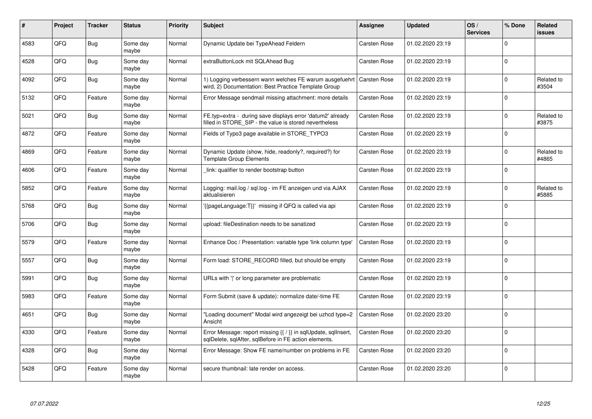| ∦    | Project    | <b>Tracker</b> | <b>Status</b>     | <b>Priority</b> | <b>Subject</b>                                                                                                                | <b>Assignee</b>     | <b>Updated</b>   | OS/<br><b>Services</b> | % Done      | Related<br>issues   |
|------|------------|----------------|-------------------|-----------------|-------------------------------------------------------------------------------------------------------------------------------|---------------------|------------------|------------------------|-------------|---------------------|
| 4583 | QFQ        | Bug            | Some day<br>maybe | Normal          | Dynamic Update bei TypeAhead Feldern                                                                                          | <b>Carsten Rose</b> | 01.02.2020 23:19 |                        | $\Omega$    |                     |
| 4528 | QFQ        | Bug            | Some dav<br>maybe | Normal          | extraButtonLock mit SQLAhead Bug                                                                                              | <b>Carsten Rose</b> | 01.02.2020 23:19 |                        | $\Omega$    |                     |
| 4092 | QFQ        | Bug            | Some day<br>maybe | Normal          | 1) Logging verbessern wann welches FE warum ausgefuehrt<br>wird, 2) Documentation: Best Practice Template Group               | <b>Carsten Rose</b> | 01.02.2020 23:19 |                        | $\mathbf 0$ | Related to<br>#3504 |
| 5132 | <b>OFO</b> | Feature        | Some day<br>maybe | Normal          | Error Message sendmail missing attachment: more details                                                                       | <b>Carsten Rose</b> | 01.02.2020 23:19 |                        | $\Omega$    |                     |
| 5021 | QFQ        | Bug            | Some day<br>maybe | Normal          | FE.typ=extra - during save displays error 'datum2' already<br>filled in STORE_SIP - the value is stored nevertheless          | <b>Carsten Rose</b> | 01.02.2020 23:19 |                        | $\Omega$    | Related to<br>#3875 |
| 4872 | QFQ        | Feature        | Some day<br>maybe | Normal          | Fields of Typo3 page available in STORE TYPO3                                                                                 | <b>Carsten Rose</b> | 01.02.2020 23:19 |                        | $\Omega$    |                     |
| 4869 | QFQ        | Feature        | Some day<br>maybe | Normal          | Dynamic Update (show, hide, readonly?, required?) for<br><b>Template Group Elements</b>                                       | <b>Carsten Rose</b> | 01.02.2020 23:19 |                        | $\Omega$    | Related to<br>#4865 |
| 4606 | QFQ        | Feature        | Some day<br>maybe | Normal          | link: qualifier to render bootstrap button                                                                                    | <b>Carsten Rose</b> | 01.02.2020 23:19 |                        | $\Omega$    |                     |
| 5852 | QFQ        | Feature        | Some day<br>maybe | Normal          | Logging: mail.log / sql.log - im FE anzeigen und via AJAX<br>aktualisieren                                                    | <b>Carsten Rose</b> | 01.02.2020 23:19 |                        | $\Omega$    | Related to<br>#5885 |
| 5768 | QFQ        | Bug            | Some day<br>maybe | Normal          | {{pageLanguage:T}}' missing if QFQ is called via api                                                                          | <b>Carsten Rose</b> | 01.02.2020 23:19 |                        | $\mathbf 0$ |                     |
| 5706 | QFQ        | <b>Bug</b>     | Some day<br>maybe | Normal          | upload: fileDestination needs to be sanatized                                                                                 | Carsten Rose        | 01.02.2020 23:19 |                        | $\Omega$    |                     |
| 5579 | QFQ        | Feature        | Some day<br>maybe | Normal          | Enhance Doc / Presentation: variable type 'link column type'                                                                  | <b>Carsten Rose</b> | 01.02.2020 23:19 |                        | $\Omega$    |                     |
| 5557 | QFQ        | Bug            | Some day<br>maybe | Normal          | Form load: STORE RECORD filled, but should be empty                                                                           | <b>Carsten Rose</b> | 01.02.2020 23:19 |                        | $\mathbf 0$ |                     |
| 5991 | QFQ        | Bug            | Some day<br>maybe | Normal          | URLs with ' ' or long parameter are problematic                                                                               | Carsten Rose        | 01.02.2020 23:19 |                        | $\Omega$    |                     |
| 5983 | QFQ        | Feature        | Some day<br>maybe | Normal          | Form Submit (save & update): normalize date/-time FE                                                                          | <b>Carsten Rose</b> | 01.02.2020 23:19 |                        | $\Omega$    |                     |
| 4651 | QFQ        | Bug            | Some day<br>maybe | Normal          | "Loading document" Modal wird angezeigt bei uzhcd type=2<br>Ansicht                                                           | <b>Carsten Rose</b> | 01.02.2020 23:20 |                        | $\Omega$    |                     |
| 4330 | QFQ        | Feature        | Some day<br>maybe | Normal          | Error Message: report missing $\{ \nmid \}$ in sqlUpdate, sqlInsert,<br>sqlDelete, sqlAfter, sqlBefore in FE action elements. | <b>Carsten Rose</b> | 01.02.2020 23:20 |                        | $\Omega$    |                     |
| 4328 | QFQ        | Bug            | Some day<br>maybe | Normal          | Error Message: Show FE name/number on problems in FE                                                                          | Carsten Rose        | 01.02.2020 23:20 |                        | $\Omega$    |                     |
| 5428 | QFQ        | Feature        | Some day<br>maybe | Normal          | secure thumbnail: late render on access.                                                                                      | <b>Carsten Rose</b> | 01.02.2020 23:20 |                        | $\Omega$    |                     |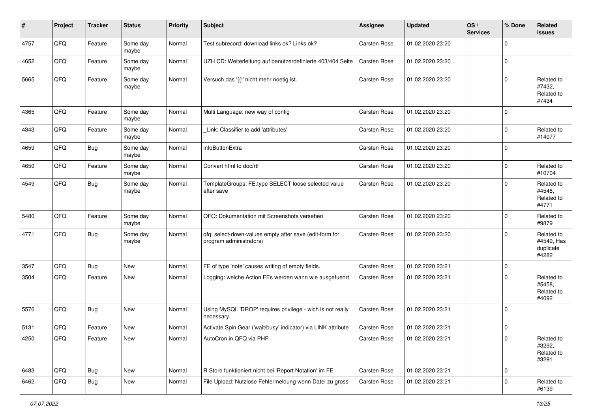| #    | Project | <b>Tracker</b> | <b>Status</b>     | <b>Priority</b> | Subject                                                                            | Assignee            | <b>Updated</b>   | OS/<br><b>Services</b> | % Done      | Related<br><b>issues</b>                       |
|------|---------|----------------|-------------------|-----------------|------------------------------------------------------------------------------------|---------------------|------------------|------------------------|-------------|------------------------------------------------|
| 4757 | QFQ     | Feature        | Some day<br>maybe | Normal          | Test subrecord: download links ok? Links ok?                                       | Carsten Rose        | 01.02.2020 23:20 |                        | $\mathbf 0$ |                                                |
| 4652 | QFQ     | Feature        | Some day<br>maybe | Normal          | UZH CD: Weiterleitung auf benutzerdefinierte 403/404 Seite                         | Carsten Rose        | 01.02.2020 23:20 |                        | $\mathbf 0$ |                                                |
| 5665 | QFQ     | Feature        | Some day<br>maybe | Normal          | Versuch das '{{!' nicht mehr noetig ist.                                           | Carsten Rose        | 01.02.2020 23:20 |                        | $\mathbf 0$ | Related to<br>#7432,<br>Related to<br>#7434    |
| 4365 | QFQ     | Feature        | Some day<br>maybe | Normal          | Multi Language: new way of config                                                  | Carsten Rose        | 01.02.2020 23:20 |                        | $\mathbf 0$ |                                                |
| 4343 | QFQ     | Feature        | Some day<br>maybe | Normal          | Link: Classifier to add 'attributes'                                               | Carsten Rose        | 01.02.2020 23:20 |                        | $\mathbf 0$ | Related to<br>#14077                           |
| 4659 | QFQ     | Bug            | Some day<br>maybe | Normal          | infoButtonExtra                                                                    | Carsten Rose        | 01.02.2020 23:20 |                        | $\mathbf 0$ |                                                |
| 4650 | QFQ     | Feature        | Some day<br>maybe | Normal          | Convert html to doc/rtf                                                            | Carsten Rose        | 01.02.2020 23:20 |                        | $\mathbf 0$ | Related to<br>#10704                           |
| 4549 | QFQ     | Bug            | Some day<br>maybe | Normal          | TemplateGroups: FE.type SELECT loose selected value<br>after save                  | Carsten Rose        | 01.02.2020 23:20 |                        | $\mathbf 0$ | Related to<br>#4548,<br>Related to<br>#4771    |
| 5480 | QFQ     | Feature        | Some day<br>maybe | Normal          | QFQ: Dokumentation mit Screenshots versehen                                        | Carsten Rose        | 01.02.2020 23:20 |                        | $\mathbf 0$ | Related to<br>#9879                            |
| 4771 | QFQ     | Bug            | Some day<br>maybe | Normal          | qfq: select-down-values empty after save (edit-form for<br>program administrators) | Carsten Rose        | 01.02.2020 23:20 |                        | $\mathbf 0$ | Related to<br>#4549, Has<br>duplicate<br>#4282 |
| 3547 | QFQ     | Bug            | New               | Normal          | FE of type 'note' causes writing of empty fields.                                  | Carsten Rose        | 01.02.2020 23:21 |                        | $\mathbf 0$ |                                                |
| 3504 | QFQ     | Feature        | New               | Normal          | Logging: welche Action FEs werden wann wie ausgefuehrt                             | Carsten Rose        | 01.02.2020 23:21 |                        | $\mathbf 0$ | Related to<br>#5458,<br>Related to<br>#4092    |
| 5576 | QFQ     | <b>Bug</b>     | New               | Normal          | Using MySQL 'DROP' requires privilege - wich is not really<br>necessary.           | Carsten Rose        | 01.02.2020 23:21 |                        | $\mathbf 0$ |                                                |
| 5131 | QFQ     | Feature        | New               | Normal          | Activate Spin Gear ('wait/busy' indicator) via LINK attribute                      | <b>Carsten Rose</b> | 01.02.2020 23:21 |                        | $\mathsf 0$ |                                                |
| 4250 | QFQ     | Feature        | New               | Normal          | AutoCron in QFQ via PHP                                                            | Carsten Rose        | 01.02.2020 23:21 |                        | 0           | Related to<br>#3292,<br>Related to<br>#3291    |
| 6483 | QFQ     | <b>Bug</b>     | New               | Normal          | R Store funktioniert nicht bei 'Report Notation' im FE                             | Carsten Rose        | 01.02.2020 23:21 |                        | $\mathbf 0$ |                                                |
| 6462 | QFQ     | <b>Bug</b>     | New               | Normal          | File Upload: Nutzlose Fehlermeldung wenn Datei zu gross                            | Carsten Rose        | 01.02.2020 23:21 |                        | $\mathbf 0$ | Related to<br>#6139                            |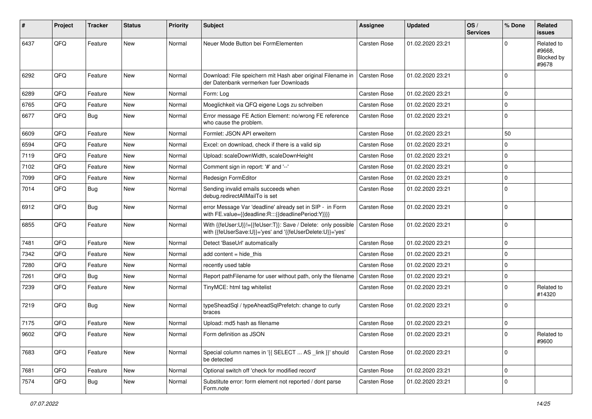| #    | Project        | Tracker    | <b>Status</b> | <b>Priority</b> | <b>Subject</b>                                                                                                             | <b>Assignee</b>     | <b>Updated</b>   | OS/<br><b>Services</b> | % Done   | Related<br>issues                           |
|------|----------------|------------|---------------|-----------------|----------------------------------------------------------------------------------------------------------------------------|---------------------|------------------|------------------------|----------|---------------------------------------------|
| 6437 | QFQ            | Feature    | <b>New</b>    | Normal          | Neuer Mode Button bei FormElementen                                                                                        | Carsten Rose        | 01.02.2020 23:21 |                        | $\Omega$ | Related to<br>#9668.<br>Blocked by<br>#9678 |
| 6292 | QFQ            | Feature    | <b>New</b>    | Normal          | Download: File speichern mit Hash aber original Filename in<br>der Datenbank vermerken fuer Downloads                      | Carsten Rose        | 01.02.2020 23:21 |                        | $\Omega$ |                                             |
| 6289 | QFQ            | Feature    | New           | Normal          | Form: Log                                                                                                                  | <b>Carsten Rose</b> | 01.02.2020 23:21 |                        | 0        |                                             |
| 6765 | QFQ            | Feature    | New           | Normal          | Moeglichkeit via QFQ eigene Logs zu schreiben                                                                              | <b>Carsten Rose</b> | 01.02.2020 23:21 |                        | $\Omega$ |                                             |
| 6677 | QFQ            | <b>Bug</b> | <b>New</b>    | Normal          | Error message FE Action Element: no/wrong FE reference<br>who cause the problem.                                           | <b>Carsten Rose</b> | 01.02.2020 23:21 |                        | $\Omega$ |                                             |
| 6609 | QFQ            | Feature    | <b>New</b>    | Normal          | Formlet: JSON API erweitern                                                                                                | <b>Carsten Rose</b> | 01.02.2020 23:21 |                        | 50       |                                             |
| 6594 | QFQ            | Feature    | <b>New</b>    | Normal          | Excel: on download, check if there is a valid sip                                                                          | <b>Carsten Rose</b> | 01.02.2020 23:21 |                        | 0        |                                             |
| 7119 | QFQ            | Feature    | New           | Normal          | Upload: scaleDownWidth, scaleDownHeight                                                                                    | <b>Carsten Rose</b> | 01.02.2020 23:21 |                        | $\Omega$ |                                             |
| 7102 | QFQ            | Feature    | New           | Normal          | Comment sign in report: '#' and '--'                                                                                       | Carsten Rose        | 01.02.2020 23:21 |                        | $\Omega$ |                                             |
| 7099 | QFQ            | Feature    | New           | Normal          | Redesign FormEditor                                                                                                        | <b>Carsten Rose</b> | 01.02.2020 23:21 |                        | 0        |                                             |
| 7014 | QFQ            | <b>Bug</b> | New           | Normal          | Sending invalid emails succeeds when<br>debug.redirectAllMailTo is set                                                     | Carsten Rose        | 01.02.2020 23:21 |                        | $\Omega$ |                                             |
| 6912 | QFQ            | <b>Bug</b> | New           | Normal          | error Message Var 'deadline' already set in SIP - in Form<br>with FE.value={{deadline:R:::{{deadlinePeriod:Y}}}}           | <b>Carsten Rose</b> | 01.02.2020 23:21 |                        | $\Omega$ |                                             |
| 6855 | QFQ            | Feature    | New           | Normal          | With {{feUser:U}}!={{feUser:T}}: Save / Delete: only possible<br>with {{feUserSave:U}}='yes' and '{{feUserDelete:U}}='yes' | <b>Carsten Rose</b> | 01.02.2020 23:21 |                        | $\Omega$ |                                             |
| 7481 | QFQ            | Feature    | New           | Normal          | Detect 'BaseUrl' automatically                                                                                             | <b>Carsten Rose</b> | 01.02.2020 23:21 |                        | $\Omega$ |                                             |
| 7342 | QFQ            | Feature    | New           | Normal          | add content $=$ hide this                                                                                                  | <b>Carsten Rose</b> | 01.02.2020 23:21 |                        | 0        |                                             |
| 7280 | QFQ            | Feature    | New           | Normal          | recently used table                                                                                                        | <b>Carsten Rose</b> | 01.02.2020 23:21 |                        | $\Omega$ |                                             |
| 7261 | QFQ            | Bug        | <b>New</b>    | Normal          | Report pathFilename for user without path, only the filename                                                               | Carsten Rose        | 01.02.2020 23:21 |                        | 0        |                                             |
| 7239 | QFQ            | Feature    | New           | Normal          | TinyMCE: html tag whitelist                                                                                                | Carsten Rose        | 01.02.2020 23:21 |                        | $\Omega$ | Related to<br>#14320                        |
| 7219 | QFQ            | Bug        | <b>New</b>    | Normal          | typeSheadSql / typeAheadSqlPrefetch: change to curly<br>braces                                                             | <b>Carsten Rose</b> | 01.02.2020 23:21 |                        | 0        |                                             |
| 7175 | QFQ            | Feature    | New           | Normal          | Upload: md5 hash as filename                                                                                               | <b>Carsten Rose</b> | 01.02.2020 23:21 |                        | 0        |                                             |
| 9602 | $\mathsf{QFQ}$ | Feature    | New           | Normal          | Form definition as JSON                                                                                                    | Carsten Rose        | 01.02.2020 23:21 |                        | 0        | Related to<br>#9600                         |
| 7683 | QFQ            | Feature    | New           | Normal          | Special column names in '{{ SELECT  AS _link }}' should<br>be detected                                                     | Carsten Rose        | 01.02.2020 23:21 |                        | 0        |                                             |
| 7681 | QFQ            | Feature    | New           | Normal          | Optional switch off 'check for modified record'                                                                            | Carsten Rose        | 01.02.2020 23:21 |                        | 0        |                                             |
| 7574 | QFQ            | Bug        | New           | Normal          | Substitute error: form element not reported / dont parse<br>Form.note                                                      | <b>Carsten Rose</b> | 01.02.2020 23:21 |                        | 0        |                                             |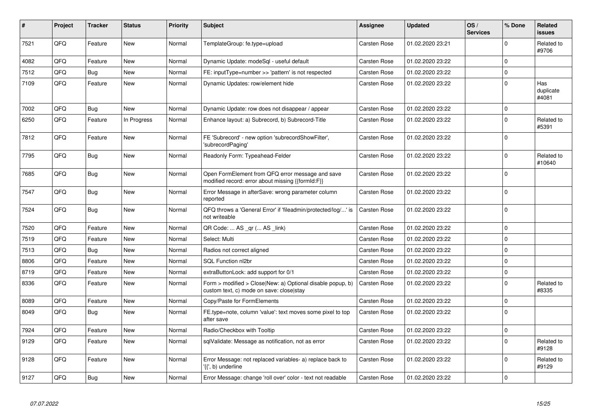| #    | Project | <b>Tracker</b> | <b>Status</b> | <b>Priority</b> | <b>Subject</b>                                                                                         | <b>Assignee</b>     | Updated          | OS/<br><b>Services</b> | % Done      | <b>Related</b><br><b>issues</b> |
|------|---------|----------------|---------------|-----------------|--------------------------------------------------------------------------------------------------------|---------------------|------------------|------------------------|-------------|---------------------------------|
| 7521 | QFQ     | Feature        | <b>New</b>    | Normal          | TemplateGroup: fe.type=upload                                                                          | <b>Carsten Rose</b> | 01.02.2020 23:21 |                        | $\Omega$    | Related to<br>#9706             |
| 4082 | QFQ     | Feature        | <b>New</b>    | Normal          | Dynamic Update: modeSql - useful default                                                               | <b>Carsten Rose</b> | 01.02.2020 23:22 |                        | $\mathbf 0$ |                                 |
| 7512 | QFQ     | Bug            | <b>New</b>    | Normal          | FE: inputType=number >> 'pattern' is not respected                                                     | Carsten Rose        | 01.02.2020 23:22 |                        | $\Omega$    |                                 |
| 7109 | QFQ     | Feature        | New           | Normal          | Dynamic Updates: row/element hide                                                                      | Carsten Rose        | 01.02.2020 23:22 |                        | $\Omega$    | Has<br>duplicate<br>#4081       |
| 7002 | QFQ     | Bug            | <b>New</b>    | Normal          | Dynamic Update: row does not disappear / appear                                                        | <b>Carsten Rose</b> | 01.02.2020 23:22 |                        | $\Omega$    |                                 |
| 6250 | QFQ     | Feature        | In Progress   | Normal          | Enhance layout: a) Subrecord, b) Subrecord-Title                                                       | <b>Carsten Rose</b> | 01.02.2020 23:22 |                        | $\Omega$    | Related to<br>#5391             |
| 7812 | QFQ     | Feature        | <b>New</b>    | Normal          | FE 'Subrecord' - new option 'subrecordShowFilter',<br>'subrecordPaging'                                | <b>Carsten Rose</b> | 01.02.2020 23:22 |                        | $\Omega$    |                                 |
| 7795 | QFQ     | Bug            | <b>New</b>    | Normal          | Readonly Form: Typeahead-Felder                                                                        | Carsten Rose        | 01.02.2020 23:22 |                        | $\Omega$    | Related to<br>#10640            |
| 7685 | QFQ     | Bug            | <b>New</b>    | Normal          | Open FormElement from QFQ error message and save<br>modified record: error about missing {{formId:F}}  | Carsten Rose        | 01.02.2020 23:22 |                        | $\Omega$    |                                 |
| 7547 | QFQ     | Bug            | New           | Normal          | Error Message in afterSave: wrong parameter column<br>reported                                         | Carsten Rose        | 01.02.2020 23:22 |                        | $\Omega$    |                                 |
| 7524 | QFQ     | <b>Bug</b>     | <b>New</b>    | Normal          | QFQ throws a 'General Error' if 'fileadmin/protected/log/' is<br>not writeable                         | Carsten Rose        | 01.02.2020 23:22 |                        | $\Omega$    |                                 |
| 7520 | QFQ     | Feature        | <b>New</b>    | Normal          | QR Code:  AS _qr ( AS _link)                                                                           | <b>Carsten Rose</b> | 01.02.2020 23:22 |                        | $\Omega$    |                                 |
| 7519 | QFQ     | Feature        | New           | Normal          | Select: Multi                                                                                          | <b>Carsten Rose</b> | 01.02.2020 23:22 |                        | $\Omega$    |                                 |
| 7513 | QFQ     | Bug            | <b>New</b>    | Normal          | Radios not correct aligned                                                                             | <b>Carsten Rose</b> | 01.02.2020 23:22 |                        | $\Omega$    |                                 |
| 8806 | QFQ     | Feature        | New           | Normal          | SQL Function nl2br                                                                                     | <b>Carsten Rose</b> | 01.02.2020 23:22 |                        | $\Omega$    |                                 |
| 8719 | QFQ     | Feature        | <b>New</b>    | Normal          | extraButtonLock: add support for 0/1                                                                   | Carsten Rose        | 01.02.2020 23:22 |                        | $\Omega$    |                                 |
| 8336 | QFQ     | Feature        | New           | Normal          | Form > modified > Close New: a) Optional disable popup, b)<br>custom text, c) mode on save: close stay | <b>Carsten Rose</b> | 01.02.2020 23:22 |                        | $\Omega$    | Related to<br>#8335             |
| 8089 | QFQ     | Feature        | New           | Normal          | Copy/Paste for FormElements                                                                            | <b>Carsten Rose</b> | 01.02.2020 23:22 |                        | $\mathbf 0$ |                                 |
| 8049 | QFQ     | Bug            | New           | Normal          | FE.type=note, column 'value': text moves some pixel to top<br>after save                               | <b>Carsten Rose</b> | 01.02.2020 23:22 |                        | $\Omega$    |                                 |
| 7924 | QFQ     | Feature        | <b>New</b>    | Normal          | Radio/Checkbox with Tooltip                                                                            | <b>Carsten Rose</b> | 01.02.2020 23:22 |                        | $\Omega$    |                                 |
| 9129 | QFQ     | Feature        | New           | Normal          | sqlValidate: Message as notification, not as error                                                     | Carsten Rose        | 01.02.2020 23:22 |                        | $\Omega$    | Related to<br>#9128             |
| 9128 | QFQ     | Feature        | New           | Normal          | Error Message: not replaced variables- a) replace back to<br>'{{', b) underline                        | Carsten Rose        | 01.02.2020 23:22 |                        | $\Omega$    | Related to<br>#9129             |
| 9127 | QFQ     | <b>Bug</b>     | New           | Normal          | Error Message: change 'roll over' color - text not readable                                            | <b>Carsten Rose</b> | 01.02.2020 23:22 |                        | $\Omega$    |                                 |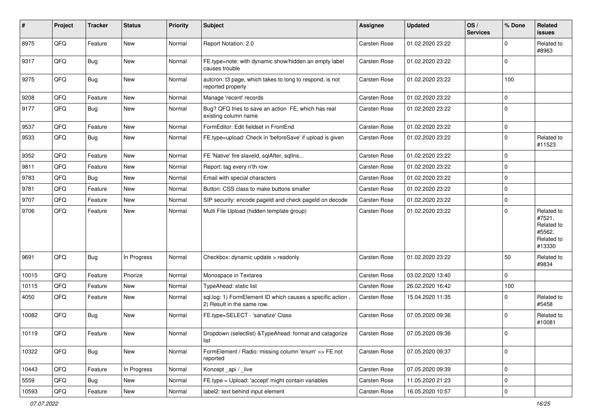| #     | Project | <b>Tracker</b> | <b>Status</b> | <b>Priority</b> | Subject                                                                                  | <b>Assignee</b>     | <b>Updated</b>   | OS/<br><b>Services</b> | % Done      | Related<br>issues                                                    |
|-------|---------|----------------|---------------|-----------------|------------------------------------------------------------------------------------------|---------------------|------------------|------------------------|-------------|----------------------------------------------------------------------|
| 8975  | QFQ     | Feature        | <b>New</b>    | Normal          | Report Notation: 2.0                                                                     | <b>Carsten Rose</b> | 01.02.2020 23:22 |                        | 0           | Related to<br>#8963                                                  |
| 9317  | QFQ     | Bug            | New           | Normal          | FE.type=note: with dynamic show/hidden an empty label<br>causes trouble                  | <b>Carsten Rose</b> | 01.02.2020 23:22 |                        | $\Omega$    |                                                                      |
| 9275  | QFQ     | Bug            | <b>New</b>    | Normal          | autcron: t3 page, which takes to long to respond, is not<br>reported properly            | <b>Carsten Rose</b> | 01.02.2020 23:22 |                        | 100         |                                                                      |
| 9208  | QFQ     | Feature        | <b>New</b>    | Normal          | Manage 'recent' records                                                                  | <b>Carsten Rose</b> | 01.02.2020 23:22 |                        | $\mathbf 0$ |                                                                      |
| 9177  | QFQ     | <b>Bug</b>     | <b>New</b>    | Normal          | Bug? QFQ tries to save an action FE, which has real<br>existing column name              | Carsten Rose        | 01.02.2020 23:22 |                        | $\Omega$    |                                                                      |
| 9537  | QFQ     | Feature        | <b>New</b>    | Normal          | FormEditor: Edit fieldset in FrontEnd                                                    | Carsten Rose        | 01.02.2020 23:22 |                        | $\mathbf 0$ |                                                                      |
| 9533  | QFQ     | Bug            | <b>New</b>    | Normal          | FE.type=upload: Check in 'beforeSave' if upload is given                                 | <b>Carsten Rose</b> | 01.02.2020 23:22 |                        | $\Omega$    | Related to<br>#11523                                                 |
| 9352  | QFQ     | Feature        | <b>New</b>    | Normal          | FE 'Native' fire slaveld, sqlAfter, sqlIns                                               | <b>Carsten Rose</b> | 01.02.2020 23:22 |                        | 0           |                                                                      |
| 9811  | QFQ     | Feature        | New           | Normal          | Report: tag every n'th row                                                               | Carsten Rose        | 01.02.2020 23:22 |                        | $\Omega$    |                                                                      |
| 9783  | QFQ     | Bug            | <b>New</b>    | Normal          | Email with special characters                                                            | <b>Carsten Rose</b> | 01.02.2020 23:22 |                        | $\mathbf 0$ |                                                                      |
| 9781  | QFQ     | Feature        | New           | Normal          | Button: CSS class to make buttons smaller                                                | <b>Carsten Rose</b> | 01.02.2020 23:22 |                        | 0           |                                                                      |
| 9707  | QFQ     | Feature        | <b>New</b>    | Normal          | SIP security: encode pageld and check pageld on decode                                   | <b>Carsten Rose</b> | 01.02.2020 23:22 |                        | $\Omega$    |                                                                      |
| 9706  | QFQ     | Feature        | <b>New</b>    | Normal          | Multi File Upload (hidden template group)                                                | <b>Carsten Rose</b> | 01.02.2020 23:22 |                        | $\Omega$    | Related to<br>#7521,<br>Related to<br>#5562,<br>Related to<br>#13330 |
| 9691  | QFQ     | Bug            | In Progress   | Normal          | Checkbox: dynamic update > readonly                                                      | <b>Carsten Rose</b> | 01.02.2020 23:22 |                        | 50          | Related to<br>#9834                                                  |
| 10015 | QFQ     | Feature        | Priorize      | Normal          | Monospace in Textarea                                                                    | <b>Carsten Rose</b> | 03.02.2020 13:40 |                        | 0           |                                                                      |
| 10115 | QFQ     | Feature        | New           | Normal          | TypeAhead: static list                                                                   | <b>Carsten Rose</b> | 26.02.2020 16:42 |                        | 100         |                                                                      |
| 4050  | QFQ     | Feature        | <b>New</b>    | Normal          | sql.log: 1) FormElement ID which causes a specific action,<br>2) Result in the same row. | <b>Carsten Rose</b> | 15.04.2020 11:35 |                        | 0           | Related to<br>#5458                                                  |
| 10082 | QFQ     | Bug            | <b>New</b>    | Normal          | FE.type=SELECT - 'sanatize' Class                                                        | Carsten Rose        | 07.05.2020 09:36 |                        | $\Omega$    | Related to<br>#10081                                                 |
| 10119 | QFQ     | Feature        | <b>New</b>    | Normal          | Dropdown (selectlist) & TypeAhead: format and catagorize<br>list                         | Carsten Rose        | 07.05.2020 09:36 |                        | $\Omega$    |                                                                      |
| 10322 | QFQ     | Bug            | New           | Normal          | FormElement / Radio: missing column 'enum' >> FE not<br>reported                         | Carsten Rose        | 07.05.2020 09:37 |                        | $\mathbf 0$ |                                                                      |
| 10443 | QFQ     | Feature        | In Progress   | Normal          | Konzept_api / _live                                                                      | Carsten Rose        | 07.05.2020 09:39 |                        | $\mathbf 0$ |                                                                      |
| 5559  | QFQ     | <b>Bug</b>     | New           | Normal          | FE.type = Upload: 'accept' might contain variables                                       | Carsten Rose        | 11.05.2020 21:23 |                        | 0           |                                                                      |
| 10593 | QFG     | Feature        | New           | Normal          | label2: text behind input element                                                        | Carsten Rose        | 16.05.2020 10:57 |                        | 0           |                                                                      |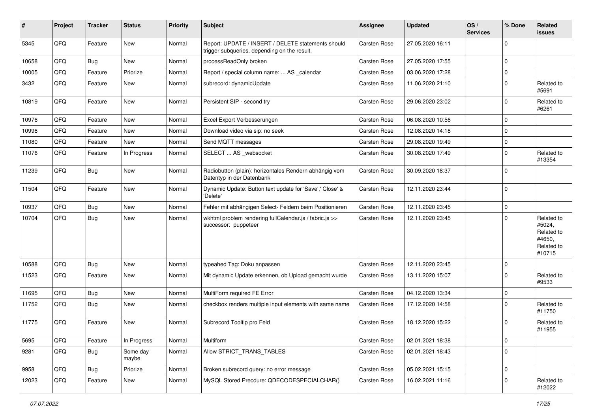| #     | Project | <b>Tracker</b> | <b>Status</b>     | <b>Priority</b> | Subject                                                                                            | <b>Assignee</b>     | <b>Updated</b>   | OS/<br><b>Services</b> | % Done      | Related<br>issues                                                    |
|-------|---------|----------------|-------------------|-----------------|----------------------------------------------------------------------------------------------------|---------------------|------------------|------------------------|-------------|----------------------------------------------------------------------|
| 5345  | QFQ     | Feature        | New               | Normal          | Report: UPDATE / INSERT / DELETE statements should<br>trigger subqueries, depending on the result. | <b>Carsten Rose</b> | 27.05.2020 16:11 |                        | $\Omega$    |                                                                      |
| 10658 | QFQ     | Bug            | New               | Normal          | processReadOnly broken                                                                             | <b>Carsten Rose</b> | 27.05.2020 17:55 |                        | $\mathbf 0$ |                                                                      |
| 10005 | QFQ     | Feature        | Priorize          | Normal          | Report / special column name:  AS _calendar                                                        | <b>Carsten Rose</b> | 03.06.2020 17:28 |                        | $\mathbf 0$ |                                                                      |
| 3432  | QFQ     | Feature        | New               | Normal          | subrecord: dynamicUpdate                                                                           | <b>Carsten Rose</b> | 11.06.2020 21:10 |                        | $\mathbf 0$ | Related to<br>#5691                                                  |
| 10819 | QFQ     | Feature        | New               | Normal          | Persistent SIP - second try                                                                        | Carsten Rose        | 29.06.2020 23:02 |                        | $\Omega$    | Related to<br>#6261                                                  |
| 10976 | QFQ     | Feature        | <b>New</b>        | Normal          | Excel Export Verbesserungen                                                                        | <b>Carsten Rose</b> | 06.08.2020 10:56 |                        | $\mathbf 0$ |                                                                      |
| 10996 | QFQ     | Feature        | New               | Normal          | Download video via sip: no seek                                                                    | Carsten Rose        | 12.08.2020 14:18 |                        | $\mathbf 0$ |                                                                      |
| 11080 | QFQ     | Feature        | New               | Normal          | Send MQTT messages                                                                                 | <b>Carsten Rose</b> | 29.08.2020 19:49 |                        | $\mathbf 0$ |                                                                      |
| 11076 | QFQ     | Feature        | In Progress       | Normal          | SELECT  AS _websocket                                                                              | <b>Carsten Rose</b> | 30.08.2020 17:49 |                        | $\mathbf 0$ | Related to<br>#13354                                                 |
| 11239 | QFQ     | Bug            | New               | Normal          | Radiobutton (plain): horizontales Rendern abhängig vom<br>Datentyp in der Datenbank                | Carsten Rose        | 30.09.2020 18:37 |                        | $\mathbf 0$ |                                                                      |
| 11504 | QFQ     | Feature        | New               | Normal          | Dynamic Update: Button text update for 'Save',' Close' &<br>'Delete'                               | <b>Carsten Rose</b> | 12.11.2020 23:44 |                        | $\Omega$    |                                                                      |
| 10937 | QFQ     | Bug            | New               | Normal          | Fehler mit abhängigen Select- Feldern beim Positionieren                                           | <b>Carsten Rose</b> | 12.11.2020 23:45 |                        | $\mathbf 0$ |                                                                      |
| 10704 | QFQ     | <b>Bug</b>     | New               | Normal          | wkhtml problem rendering fullCalendar.js / fabric.js >><br>successor: puppeteer                    | <b>Carsten Rose</b> | 12.11.2020 23:45 |                        | $\Omega$    | Related to<br>#5024,<br>Related to<br>#4650,<br>Related to<br>#10715 |
| 10588 | QFQ     | Bug            | <b>New</b>        | Normal          | typeahed Tag: Doku anpassen                                                                        | <b>Carsten Rose</b> | 12.11.2020 23:45 |                        | $\mathbf 0$ |                                                                      |
| 11523 | QFQ     | Feature        | New               | Normal          | Mit dynamic Update erkennen, ob Upload gemacht wurde                                               | Carsten Rose        | 13.11.2020 15:07 |                        | $\Omega$    | Related to<br>#9533                                                  |
| 11695 | QFQ     | <b>Bug</b>     | New               | Normal          | MultiForm required FE Error                                                                        | Carsten Rose        | 04.12.2020 13:34 |                        | $\mathbf 0$ |                                                                      |
| 11752 | QFQ     | <b>Bug</b>     | New               | Normal          | checkbox renders multiple input elements with same name                                            | <b>Carsten Rose</b> | 17.12.2020 14:58 |                        | $\Omega$    | Related to<br>#11750                                                 |
| 11775 | QFQ     | Feature        | New               | Normal          | Subrecord Tooltip pro Feld                                                                         | <b>Carsten Rose</b> | 18.12.2020 15:22 |                        | $\mathbf 0$ | Related to<br>#11955                                                 |
| 5695  | QFQ     | Feature        | In Progress       | Normal          | Multiform                                                                                          | Carsten Rose        | 02.01.2021 18:38 |                        | $\mathbf 0$ |                                                                      |
| 9281  | QFQ     | <b>Bug</b>     | Some day<br>maybe | Normal          | Allow STRICT_TRANS_TABLES                                                                          | Carsten Rose        | 02.01.2021 18:43 |                        | $\mathbf 0$ |                                                                      |
| 9958  | QFQ     | Bug            | Priorize          | Normal          | Broken subrecord query: no error message                                                           | Carsten Rose        | 05.02.2021 15:15 |                        | $\mathbf 0$ |                                                                      |
| 12023 | QFQ     | Feature        | New               | Normal          | MySQL Stored Precdure: QDECODESPECIALCHAR()                                                        | Carsten Rose        | 16.02.2021 11:16 |                        | $\mathbf 0$ | Related to<br>#12022                                                 |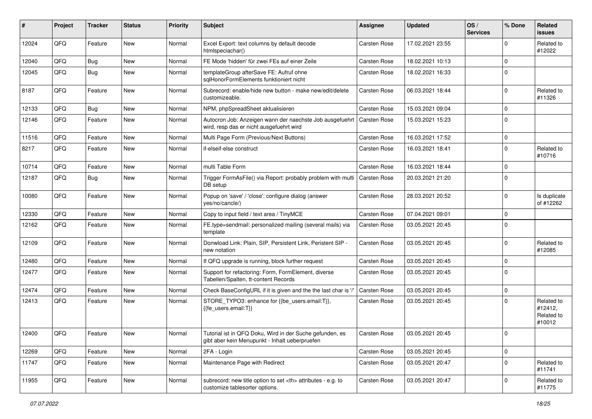| #     | Project | <b>Tracker</b> | <b>Status</b> | <b>Priority</b> | Subject                                                                                                    | <b>Assignee</b>                                        | <b>Updated</b>   | OS/<br><b>Services</b> | % Done         | Related<br>issues                             |                      |
|-------|---------|----------------|---------------|-----------------|------------------------------------------------------------------------------------------------------------|--------------------------------------------------------|------------------|------------------------|----------------|-----------------------------------------------|----------------------|
| 12024 | QFQ     | Feature        | <b>New</b>    | Normal          | Excel Export: text columns by default decode<br>htmlspeciachar()                                           | <b>Carsten Rose</b>                                    | 17.02.2021 23:55 |                        | 0              | Related to<br>#12022                          |                      |
| 12040 | QFQ     | Bug            | <b>New</b>    | Normal          | FE Mode 'hidden' für zwei FEs auf einer Zeile                                                              | <b>Carsten Rose</b>                                    | 18.02.2021 10:13 |                        | $\Omega$       |                                               |                      |
| 12045 | QFQ     | Bug            | New           | Normal          | templateGroup afterSave FE: Aufruf ohne<br>sglHonorFormElements funktioniert nicht                         | <b>Carsten Rose</b>                                    | 18.02.2021 16:33 |                        | $\Omega$       |                                               |                      |
| 8187  | QFQ     | Feature        | <b>New</b>    | Normal          | Subrecord: enable/hide new button - make new/edit/delete<br>customizeable.                                 | <b>Carsten Rose</b>                                    | 06.03.2021 18:44 |                        | $\Omega$       | Related to<br>#11326                          |                      |
| 12133 | QFQ     | Bug            | New           | Normal          | NPM, phpSpreadSheet aktualisieren                                                                          | <b>Carsten Rose</b>                                    | 15.03.2021 09:04 |                        | 0              |                                               |                      |
| 12146 | QFQ     | Feature        | <b>New</b>    | Normal          | Autocron Job: Anzeigen wann der naechste Job ausgefuehrt<br>wird, resp das er nicht ausgefuehrt wird       | Carsten Rose                                           | 15.03.2021 15:23 |                        | $\Omega$       |                                               |                      |
| 11516 | QFQ     | Feature        | <b>New</b>    | Normal          | Multi Page Form (Previous/Next Buttons)                                                                    | <b>Carsten Rose</b>                                    | 16.03.2021 17:52 |                        | $\mathbf 0$    |                                               |                      |
| 8217  | QFQ     | Feature        | <b>New</b>    | Normal          | if-elseif-else construct                                                                                   | <b>Carsten Rose</b>                                    | 16.03.2021 18:41 |                        | 0              | Related to<br>#10716                          |                      |
| 10714 | QFQ     | Feature        | <b>New</b>    | Normal          | multi Table Form                                                                                           | <b>Carsten Rose</b>                                    | 16.03.2021 18:44 |                        | $\Omega$       |                                               |                      |
| 12187 | QFQ     | Bug            | <b>New</b>    | Normal          | Trigger FormAsFile() via Report: probably problem with multi<br>DB setup                                   | <b>Carsten Rose</b>                                    | 20.03.2021 21:20 |                        | $\Omega$       |                                               |                      |
| 10080 | QFQ     | Feature        | <b>New</b>    | Normal          | Popup on 'save' / 'close': configure dialog (answer<br>yes/no/cancle/)                                     | Carsten Rose                                           | 28.03.2021 20:52 |                        | $\Omega$       | Is duplicate<br>of #12262                     |                      |
| 12330 | QFQ     | Feature        | <b>New</b>    | Normal          | Copy to input field / text area / TinyMCE                                                                  | <b>Carsten Rose</b>                                    | 07.04.2021 09:01 |                        | 0              |                                               |                      |
| 12162 | QFQ     | Feature        | New           | Normal          | FE.type=sendmail: personalized mailing (several mails) via<br>template                                     | <b>Carsten Rose</b>                                    | 03.05.2021 20:45 |                        | 0              |                                               |                      |
| 12109 | QFQ     | Feature        | <b>New</b>    | Normal          | Donwload Link: Plain, SIP, Persistent Link, Peristent SIP -<br>new notation                                | <b>Carsten Rose</b>                                    | 03.05.2021 20:45 |                        | $\Omega$       | Related to<br>#12085                          |                      |
| 12480 | QFQ     | Feature        | <b>New</b>    | Normal          | If QFQ upgrade is running, block further request                                                           | <b>Carsten Rose</b>                                    | 03.05.2021 20:45 |                        | 0              |                                               |                      |
| 12477 | QFQ     | Feature        | New           | Normal          | Support for refactoring: Form, FormElement, diverse<br>Tabellen/Spalten, tt-content Records                | <b>Carsten Rose</b>                                    | 03.05.2021 20:45 |                        | $\mathbf 0$    |                                               |                      |
| 12474 | QFQ     | Feature        | <b>New</b>    | Normal          | Check BaseConfigURL if it is given and the the last char is '/                                             | <b>Carsten Rose</b>                                    | 03.05.2021 20:45 |                        | 0              |                                               |                      |
| 12413 | QFQ     | Feature        | New           | Normal          | STORE_TYPO3: enhance for {{be_users.email:T}},<br>{{fe users.email:T}}                                     | <b>Carsten Rose</b>                                    | 03.05.2021 20:45 |                        | 0              | Related to<br>#12412,<br>Related to<br>#10012 |                      |
| 12400 | QFQ     | Feature        | New           | Normal          | Tutorial ist in QFQ Doku, Wird in der Suche gefunden, es<br>gibt aber kein Menupunkt - Inhalt ueberpruefen | Carsten Rose                                           | 03.05.2021 20:45 |                        | $\overline{0}$ |                                               |                      |
| 12269 | QFQ     | Feature        | New           | Normal          | 2FA - Login                                                                                                | Carsten Rose                                           | 03.05.2021 20:45 |                        | $\mathbf 0$    |                                               |                      |
| 11747 | QFQ     | Feature        | New           | Normal          | Maintenance Page with Redirect                                                                             | Carsten Rose                                           | 03.05.2021 20:47 |                        | 0              | Related to<br>#11741                          |                      |
| 11955 | QFQ     | Feature        | New           | Normal          | subrecord: new title option to set <th> attributes - e.g. to<br/>customize tablesorter options.</th>       | attributes - e.g. to<br>customize tablesorter options. | Carsten Rose     | 03.05.2021 20:47       |                | 0                                             | Related to<br>#11775 |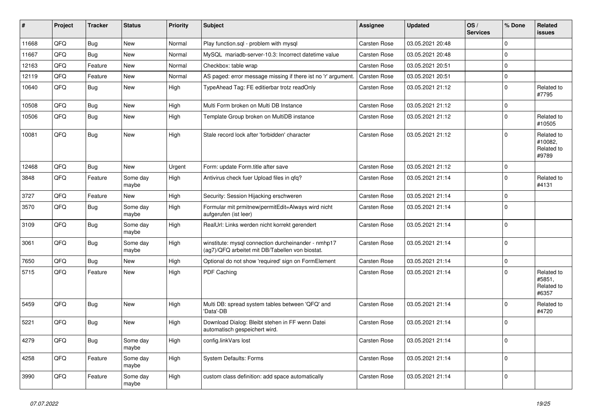| #     | Project | <b>Tracker</b> | <b>Status</b>     | <b>Priority</b> | Subject                                                                                                | <b>Assignee</b>     | <b>Updated</b>   | OS/<br><b>Services</b> | % Done      | Related<br><b>issues</b>                     |
|-------|---------|----------------|-------------------|-----------------|--------------------------------------------------------------------------------------------------------|---------------------|------------------|------------------------|-------------|----------------------------------------------|
| 11668 | QFQ     | <b>Bug</b>     | New               | Normal          | Play function.sql - problem with mysql                                                                 | Carsten Rose        | 03.05.2021 20:48 |                        | $\mathbf 0$ |                                              |
| 11667 | QFQ     | <b>Bug</b>     | New               | Normal          | MySQL mariadb-server-10.3: Incorrect datetime value                                                    | Carsten Rose        | 03.05.2021 20:48 |                        | $\mathbf 0$ |                                              |
| 12163 | QFQ     | Feature        | <b>New</b>        | Normal          | Checkbox: table wrap                                                                                   | <b>Carsten Rose</b> | 03.05.2021 20:51 |                        | $\mathbf 0$ |                                              |
| 12119 | QFQ     | Feature        | <b>New</b>        | Normal          | AS paged: error message missing if there ist no 'r' argument.                                          | Carsten Rose        | 03.05.2021 20:51 |                        | $\pmb{0}$   |                                              |
| 10640 | QFQ     | Bug            | New               | High            | TypeAhead Tag: FE editierbar trotz readOnly                                                            | <b>Carsten Rose</b> | 03.05.2021 21:12 |                        | $\mathbf 0$ | Related to<br>#7795                          |
| 10508 | QFQ     | Bug            | New               | High            | Multi Form broken on Multi DB Instance                                                                 | Carsten Rose        | 03.05.2021 21:12 |                        | $\mathbf 0$ |                                              |
| 10506 | QFQ     | <b>Bug</b>     | New               | High            | Template Group broken on MultiDB instance                                                              | Carsten Rose        | 03.05.2021 21:12 |                        | $\mathbf 0$ | Related to<br>#10505                         |
| 10081 | QFQ     | <b>Bug</b>     | New               | High            | Stale record lock after 'forbidden' character                                                          | Carsten Rose        | 03.05.2021 21:12 |                        | $\mathbf 0$ | Related to<br>#10082,<br>Related to<br>#9789 |
| 12468 | QFQ     | <b>Bug</b>     | New               | Urgent          | Form: update Form.title after save                                                                     | Carsten Rose        | 03.05.2021 21:12 |                        | $\mathbf 0$ |                                              |
| 3848  | QFQ     | Feature        | Some day<br>maybe | High            | Antivirus check fuer Upload files in qfq?                                                              | Carsten Rose        | 03.05.2021 21:14 |                        | $\mathbf 0$ | Related to<br>#4131                          |
| 3727  | QFQ     | Feature        | New               | High            | Security: Session Hijacking erschweren                                                                 | Carsten Rose        | 03.05.2021 21:14 |                        | 0           |                                              |
| 3570  | QFQ     | Bug            | Some day<br>maybe | High            | Formular mit prmitnew permitEdit=Always wird nicht<br>aufgerufen (ist leer)                            | <b>Carsten Rose</b> | 03.05.2021 21:14 |                        | 0           |                                              |
| 3109  | QFQ     | Bug            | Some day<br>maybe | High            | RealUrl: Links werden nicht korrekt gerendert                                                          | <b>Carsten Rose</b> | 03.05.2021 21:14 |                        | 0           |                                              |
| 3061  | QFQ     | Bug            | Some day<br>maybe | High            | winstitute: mysql connection durcheinander - nmhp17<br>(ag7)/QFQ arbeitet mit DB/Tabellen von biostat. | Carsten Rose        | 03.05.2021 21:14 |                        | 0           |                                              |
| 7650  | QFQ     | <b>Bug</b>     | New               | High            | Optional do not show 'required' sign on FormElement                                                    | Carsten Rose        | 03.05.2021 21:14 |                        | 0           |                                              |
| 5715  | QFQ     | Feature        | New               | High            | PDF Caching                                                                                            | <b>Carsten Rose</b> | 03.05.2021 21:14 |                        | $\mathbf 0$ | Related to<br>#5851.<br>Related to<br>#6357  |
| 5459  | QFQ     | <b>Bug</b>     | New               | High            | Multi DB: spread system tables between 'QFQ' and<br>'Data'-DB                                          | Carsten Rose        | 03.05.2021 21:14 |                        | $\mathbf 0$ | Related to<br>#4720                          |
| 5221  | QFQ     | <b>Bug</b>     | <b>New</b>        | High            | Download Dialog: Bleibt stehen in FF wenn Datei<br>automatisch gespeichert wird.                       | Carsten Rose        | 03.05.2021 21:14 |                        | 0           |                                              |
| 4279  | QFQ     | <b>Bug</b>     | Some day<br>maybe | High            | config.linkVars lost                                                                                   | Carsten Rose        | 03.05.2021 21:14 |                        | 0           |                                              |
| 4258  | QFQ     | Feature        | Some day<br>maybe | High            | <b>System Defaults: Forms</b>                                                                          | <b>Carsten Rose</b> | 03.05.2021 21:14 |                        | 0           |                                              |
| 3990  | QFQ     | Feature        | Some day<br>maybe | High            | custom class definition: add space automatically                                                       | Carsten Rose        | 03.05.2021 21:14 |                        | 0           |                                              |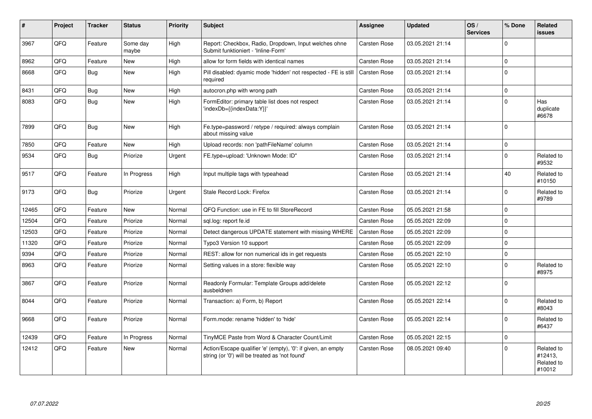| #     | Project | <b>Tracker</b> | <b>Status</b>     | Priority | <b>Subject</b>                                                                                                 | <b>Assignee</b>     | <b>Updated</b>   | OS/<br><b>Services</b> | % Done       | Related<br><b>issues</b>                      |
|-------|---------|----------------|-------------------|----------|----------------------------------------------------------------------------------------------------------------|---------------------|------------------|------------------------|--------------|-----------------------------------------------|
| 3967  | QFQ     | Feature        | Some day<br>maybe | High     | Report: Checkbox, Radio, Dropdown, Input welches ohne<br>Submit funktioniert - 'Inline-Form'                   | <b>Carsten Rose</b> | 03.05.2021 21:14 |                        | <sup>0</sup> |                                               |
| 8962  | QFQ     | Feature        | <b>New</b>        | High     | allow for form fields with identical names                                                                     | <b>Carsten Rose</b> | 03.05.2021 21:14 |                        | $\Omega$     |                                               |
| 8668  | QFQ     | Bug            | <b>New</b>        | High     | Pill disabled: dyamic mode 'hidden' not respected - FE is still<br>required                                    | <b>Carsten Rose</b> | 03.05.2021 21:14 |                        | $\Omega$     |                                               |
| 8431  | QFQ     | Bug            | <b>New</b>        | High     | autocron.php with wrong path                                                                                   | Carsten Rose        | 03.05.2021 21:14 |                        | $\Omega$     |                                               |
| 8083  | QFQ     | Bug            | <b>New</b>        | High     | FormEditor: primary table list does not respect<br>'indexDb={{indexData:Y}}'                                   | <b>Carsten Rose</b> | 03.05.2021 21:14 |                        | $\Omega$     | Has<br>duplicate<br>#6678                     |
| 7899  | QFQ     | Bug            | <b>New</b>        | High     | Fe.type=password / retype / required: always complain<br>about missing value                                   | <b>Carsten Rose</b> | 03.05.2021 21:14 |                        | $\Omega$     |                                               |
| 7850  | QFQ     | Feature        | <b>New</b>        | High     | Upload records: non 'pathFileName' column                                                                      | <b>Carsten Rose</b> | 03.05.2021 21:14 |                        | $\Omega$     |                                               |
| 9534  | QFQ     | <b>Bug</b>     | Priorize          | Urgent   | FE.type=upload: 'Unknown Mode: ID"                                                                             | <b>Carsten Rose</b> | 03.05.2021 21:14 |                        | $\Omega$     | Related to<br>#9532                           |
| 9517  | QFQ     | Feature        | In Progress       | High     | Input multiple tags with typeahead                                                                             | Carsten Rose        | 03.05.2021 21:14 |                        | 40           | Related to<br>#10150                          |
| 9173  | QFQ     | Bug            | Priorize          | Urgent   | Stale Record Lock: Firefox                                                                                     | <b>Carsten Rose</b> | 03.05.2021 21:14 |                        | <sup>0</sup> | Related to<br>#9789                           |
| 12465 | QFQ     | Feature        | <b>New</b>        | Normal   | QFQ Function: use in FE to fill StoreRecord                                                                    | Carsten Rose        | 05.05.2021 21:58 |                        | $\Omega$     |                                               |
| 12504 | QFQ     | Feature        | Priorize          | Normal   | sql.log: report fe.id                                                                                          | <b>Carsten Rose</b> | 05.05.2021 22:09 |                        | $\Omega$     |                                               |
| 12503 | QFQ     | Feature        | Priorize          | Normal   | Detect dangerous UPDATE statement with missing WHERE                                                           | <b>Carsten Rose</b> | 05.05.2021 22:09 |                        | $\Omega$     |                                               |
| 11320 | QFQ     | Feature        | Priorize          | Normal   | Typo3 Version 10 support                                                                                       | <b>Carsten Rose</b> | 05.05.2021 22:09 |                        | $\Omega$     |                                               |
| 9394  | QFQ     | Feature        | Priorize          | Normal   | REST: allow for non numerical ids in get requests                                                              | <b>Carsten Rose</b> | 05.05.2021 22:10 |                        | $\Omega$     |                                               |
| 8963  | QFQ     | Feature        | Priorize          | Normal   | Setting values in a store: flexible way                                                                        | <b>Carsten Rose</b> | 05.05.2021 22:10 |                        | $\Omega$     | Related to<br>#8975                           |
| 3867  | QFQ     | Feature        | Priorize          | Normal   | Readonly Formular: Template Groups add/delete<br>ausbeldnen                                                    | Carsten Rose        | 05.05.2021 22:12 |                        | $\Omega$     |                                               |
| 8044  | QFQ     | Feature        | Priorize          | Normal   | Transaction: a) Form, b) Report                                                                                | <b>Carsten Rose</b> | 05.05.2021 22:14 |                        | <sup>0</sup> | Related to<br>#8043                           |
| 9668  | QFQ     | Feature        | Priorize          | Normal   | Form.mode: rename 'hidden' to 'hide'                                                                           | <b>Carsten Rose</b> | 05.05.2021 22:14 |                        | $\Omega$     | Related to<br>#6437                           |
| 12439 | QFQ     | Feature        | In Progress       | Normal   | TinyMCE Paste from Word & Character Count/Limit                                                                | <b>Carsten Rose</b> | 05.05.2021 22:15 |                        | $\Omega$     |                                               |
| 12412 | QFQ     | Feature        | New               | Normal   | Action/Escape qualifier 'e' (empty), '0': if given, an empty<br>string (or '0') will be treated as 'not found' | <b>Carsten Rose</b> | 08.05.2021 09:40 |                        | <sup>0</sup> | Related to<br>#12413.<br>Related to<br>#10012 |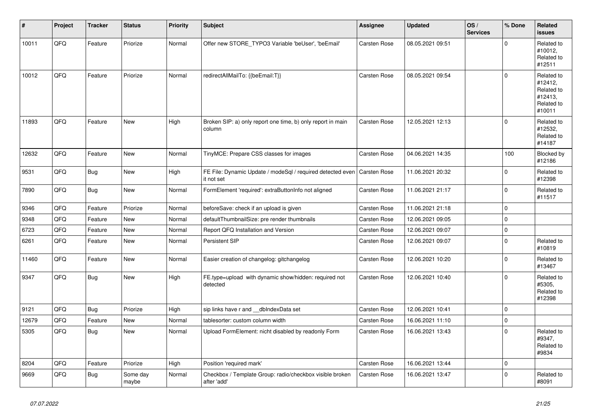| #     | Project | <b>Tracker</b> | <b>Status</b>     | <b>Priority</b> | <b>Subject</b>                                                           | <b>Assignee</b>     | <b>Updated</b>   | OS/<br><b>Services</b> | % Done      | Related<br><b>issues</b>                                               |
|-------|---------|----------------|-------------------|-----------------|--------------------------------------------------------------------------|---------------------|------------------|------------------------|-------------|------------------------------------------------------------------------|
| 10011 | QFQ     | Feature        | Priorize          | Normal          | Offer new STORE_TYPO3 Variable 'beUser', 'beEmail'                       | <b>Carsten Rose</b> | 08.05.2021 09:51 |                        | $\Omega$    | Related to<br>#10012,<br>Related to<br>#12511                          |
| 10012 | QFQ     | Feature        | Priorize          | Normal          | redirectAllMailTo: {{beEmail:T}}                                         | <b>Carsten Rose</b> | 08.05.2021 09:54 |                        | $\Omega$    | Related to<br>#12412.<br>Related to<br>#12413,<br>Related to<br>#10011 |
| 11893 | QFQ     | Feature        | New               | High            | Broken SIP: a) only report one time, b) only report in main<br>column    | <b>Carsten Rose</b> | 12.05.2021 12:13 |                        | $\Omega$    | Related to<br>#12532,<br>Related to<br>#14187                          |
| 12632 | QFQ     | Feature        | <b>New</b>        | Normal          | TinyMCE: Prepare CSS classes for images                                  | <b>Carsten Rose</b> | 04.06.2021 14:35 |                        | 100         | Blocked by<br>#12186                                                   |
| 9531  | QFQ     | <b>Bug</b>     | <b>New</b>        | High            | FE File: Dynamic Update / modeSql / required detected even<br>it not set | <b>Carsten Rose</b> | 11.06.2021 20:32 |                        | $\Omega$    | Related to<br>#12398                                                   |
| 7890  | QFQ     | Bug            | <b>New</b>        | Normal          | FormElement 'required': extraButtonInfo not aligned                      | <b>Carsten Rose</b> | 11.06.2021 21:17 |                        | $\Omega$    | Related to<br>#11517                                                   |
| 9346  | QFQ     | Feature        | Priorize          | Normal          | beforeSave: check if an upload is given                                  | <b>Carsten Rose</b> | 11.06.2021 21:18 |                        | $\Omega$    |                                                                        |
| 9348  | QFQ     | Feature        | <b>New</b>        | Normal          | defaultThumbnailSize: pre render thumbnails                              | <b>Carsten Rose</b> | 12.06.2021 09:05 |                        | $\mathbf 0$ |                                                                        |
| 6723  | QFQ     | Feature        | New               | Normal          | Report QFQ Installation and Version                                      | Carsten Rose        | 12.06.2021 09:07 |                        | $\Omega$    |                                                                        |
| 6261  | QFQ     | Feature        | New               | Normal          | Persistent SIP                                                           | Carsten Rose        | 12.06.2021 09:07 |                        | $\mathbf 0$ | Related to<br>#10819                                                   |
| 11460 | QFQ     | Feature        | <b>New</b>        | Normal          | Easier creation of changelog: gitchangelog                               | <b>Carsten Rose</b> | 12.06.2021 10:20 |                        | $\Omega$    | Related to<br>#13467                                                   |
| 9347  | QFQ     | <b>Bug</b>     | New               | High            | FE.type=upload with dynamic show/hidden: required not<br>detected        | <b>Carsten Rose</b> | 12.06.2021 10:40 |                        | $\Omega$    | Related to<br>#5305,<br>Related to<br>#12398                           |
| 9121  | QFQ     | <b>Bug</b>     | Priorize          | High            | sip links have r and __dbIndexData set                                   | <b>Carsten Rose</b> | 12.06.2021 10:41 |                        | $\mathbf 0$ |                                                                        |
| 12679 | QFQ     | Feature        | <b>New</b>        | Normal          | tablesorter: custom column width                                         | <b>Carsten Rose</b> | 16.06.2021 11:10 |                        | $\Omega$    |                                                                        |
| 5305  | QFQ     | Bug            | New               | Normal          | Upload FormElement: nicht disabled by readonly Form                      | <b>Carsten Rose</b> | 16.06.2021 13:43 |                        | $\Omega$    | Related to<br>#9347,<br>Related to<br>#9834                            |
| 8204  | QFQ     | Feature        | Priorize          | High            | Position 'required mark'                                                 | Carsten Rose        | 16.06.2021 13:44 |                        | $\mathbf 0$ |                                                                        |
| 9669  | QFQ     | Bug            | Some day<br>maybe | Normal          | Checkbox / Template Group: radio/checkbox visible broken<br>after 'add'  | Carsten Rose        | 16.06.2021 13:47 |                        | $\Omega$    | Related to<br>#8091                                                    |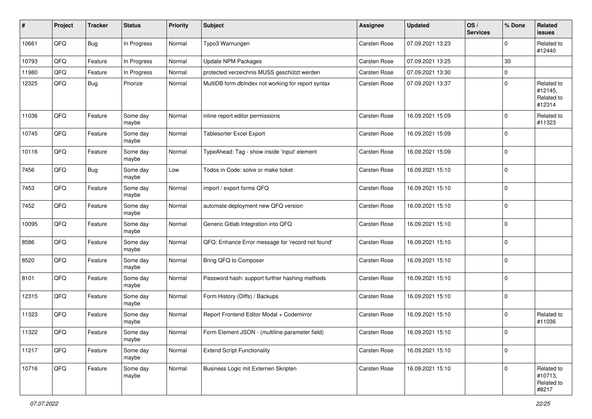| #     | Project | <b>Tracker</b> | <b>Status</b>     | <b>Priority</b> | <b>Subject</b>                                     | <b>Assignee</b>     | <b>Updated</b>   | OS/<br><b>Services</b> | % Done      | Related<br><b>issues</b>                      |
|-------|---------|----------------|-------------------|-----------------|----------------------------------------------------|---------------------|------------------|------------------------|-------------|-----------------------------------------------|
| 10661 | QFQ     | Bug            | In Progress       | Normal          | Typo3 Warnungen                                    | Carsten Rose        | 07.09.2021 13:23 |                        | 0           | Related to<br>#12440                          |
| 10793 | QFQ     | Feature        | In Progress       | Normal          | <b>Update NPM Packages</b>                         | Carsten Rose        | 07.09.2021 13:25 |                        | 30          |                                               |
| 11980 | QFQ     | Feature        | In Progress       | Normal          | protected verzeichnis MUSS geschützt werden        | Carsten Rose        | 07.09.2021 13:30 |                        | 0           |                                               |
| 12325 | QFQ     | Bug            | Priorize          | Normal          | MultiDB form.dblndex not working for report syntax | Carsten Rose        | 07.09.2021 13:37 |                        | $\Omega$    | Related to<br>#12145,<br>Related to<br>#12314 |
| 11036 | QFQ     | Feature        | Some day<br>maybe | Normal          | inline report editor permissions                   | Carsten Rose        | 16.09.2021 15:09 |                        | $\mathbf 0$ | Related to<br>#11323                          |
| 10745 | QFQ     | Feature        | Some day<br>maybe | Normal          | Tablesorter Excel Export                           | Carsten Rose        | 16.09.2021 15:09 |                        | $\Omega$    |                                               |
| 10116 | QFQ     | Feature        | Some day<br>maybe | Normal          | TypeAhead: Tag - show inside 'input' element       | Carsten Rose        | 16.09.2021 15:09 |                        | $\Omega$    |                                               |
| 7456  | QFQ     | Bug            | Some day<br>maybe | Low             | Todos in Code: solve or make ticket                | Carsten Rose        | 16.09.2021 15:10 |                        | $\mathbf 0$ |                                               |
| 7453  | QFQ     | Feature        | Some day<br>maybe | Normal          | import / export forms QFQ                          | Carsten Rose        | 16.09.2021 15:10 |                        | $\mathbf 0$ |                                               |
| 7452  | QFQ     | Feature        | Some day<br>maybe | Normal          | automate deployment new QFQ version                | Carsten Rose        | 16.09.2021 15:10 |                        | 0           |                                               |
| 10095 | QFQ     | Feature        | Some day<br>maybe | Normal          | Generic Gitlab Integration into QFQ                | Carsten Rose        | 16.09.2021 15:10 |                        | $\mathbf 0$ |                                               |
| 8586  | QFQ     | Feature        | Some day<br>maybe | Normal          | QFQ: Enhance Error message for 'record not found'  | Carsten Rose        | 16.09.2021 15:10 |                        | $\mathbf 0$ |                                               |
| 8520  | QFQ     | Feature        | Some day<br>maybe | Normal          | Bring QFQ to Composer                              | Carsten Rose        | 16.09.2021 15:10 |                        | $\Omega$    |                                               |
| 8101  | QFQ     | Feature        | Some day<br>maybe | Normal          | Password hash: support further hashing methods     | Carsten Rose        | 16.09.2021 15:10 |                        | $\Omega$    |                                               |
| 12315 | QFQ     | Feature        | Some day<br>maybe | Normal          | Form History (Diffs) / Backups                     | Carsten Rose        | 16.09.2021 15:10 |                        | $\mathbf 0$ |                                               |
| 11323 | QFQ     | Feature        | Some day<br>maybe | Normal          | Report Frontend Editor Modal + Codemirror          | Carsten Rose        | 16.09.2021 15:10 |                        | 0           | Related to<br>#11036                          |
| 11322 | QFQ     | Feature        | Some day<br>maybe | Normal          | Form Element JSON - (multiline parameter field)    | <b>Carsten Rose</b> | 16.09.2021 15:10 |                        | 0           |                                               |
| 11217 | QFQ     | Feature        | Some day<br>maybe | Normal          | <b>Extend Script Functionality</b>                 | Carsten Rose        | 16.09.2021 15:10 |                        | $\mathbf 0$ |                                               |
| 10716 | QFQ     | Feature        | Some day<br>maybe | Normal          | Business Logic mit Externen Skripten               | Carsten Rose        | 16.09.2021 15:10 |                        | $\mathbf 0$ | Related to<br>#10713,<br>Related to<br>#8217  |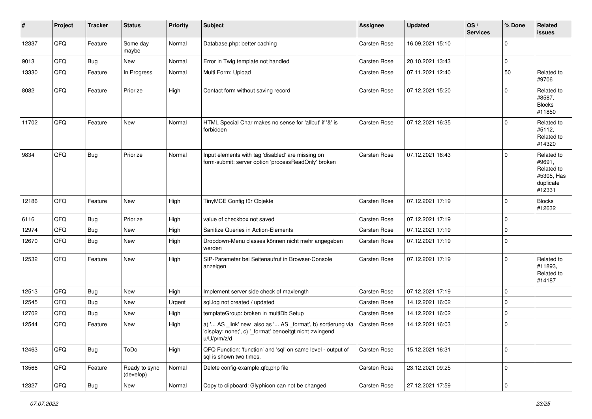| #     | Project | <b>Tracker</b> | <b>Status</b>              | <b>Priority</b> | <b>Subject</b>                                                                                                                        | Assignee            | <b>Updated</b>   | OS/<br><b>Services</b> | % Done      | Related<br><b>issues</b>                                                |
|-------|---------|----------------|----------------------------|-----------------|---------------------------------------------------------------------------------------------------------------------------------------|---------------------|------------------|------------------------|-------------|-------------------------------------------------------------------------|
| 12337 | QFQ     | Feature        | Some day<br>maybe          | Normal          | Database.php: better caching                                                                                                          | Carsten Rose        | 16.09.2021 15:10 |                        | $\mathbf 0$ |                                                                         |
| 9013  | QFQ     | Bug            | New                        | Normal          | Error in Twig template not handled                                                                                                    | Carsten Rose        | 20.10.2021 13:43 |                        | $\mathbf 0$ |                                                                         |
| 13330 | QFQ     | Feature        | In Progress                | Normal          | Multi Form: Upload                                                                                                                    | Carsten Rose        | 07.11.2021 12:40 |                        | 50          | Related to<br>#9706                                                     |
| 8082  | QFQ     | Feature        | Priorize                   | High            | Contact form without saving record                                                                                                    | Carsten Rose        | 07.12.2021 15:20 |                        | $\mathbf 0$ | Related to<br>#8587,<br><b>Blocks</b><br>#11850                         |
| 11702 | QFQ     | Feature        | New                        | Normal          | HTML Special Char makes no sense for 'allbut' if '&' is<br>forbidden                                                                  | <b>Carsten Rose</b> | 07.12.2021 16:35 |                        | $\mathbf 0$ | Related to<br>#5112,<br>Related to<br>#14320                            |
| 9834  | QFQ     | Bug            | Priorize                   | Normal          | Input elements with tag 'disabled' are missing on<br>form-submit: server option 'processReadOnly' broken                              | Carsten Rose        | 07.12.2021 16:43 |                        | $\mathbf 0$ | Related to<br>#9691,<br>Related to<br>#5305, Has<br>duplicate<br>#12331 |
| 12186 | QFQ     | Feature        | New                        | High            | TinyMCE Config für Objekte                                                                                                            | Carsten Rose        | 07.12.2021 17:19 |                        | $\mathbf 0$ | <b>Blocks</b><br>#12632                                                 |
| 6116  | QFQ     | <b>Bug</b>     | Priorize                   | High            | value of checkbox not saved                                                                                                           | Carsten Rose        | 07.12.2021 17:19 |                        | $\mathbf 0$ |                                                                         |
| 12974 | QFQ     | <b>Bug</b>     | <b>New</b>                 | High            | Sanitize Queries in Action-Elements                                                                                                   | Carsten Rose        | 07.12.2021 17:19 |                        | $\mathbf 0$ |                                                                         |
| 12670 | QFQ     | Bug            | New                        | High            | Dropdown-Menu classes können nicht mehr angegeben<br>werden                                                                           | Carsten Rose        | 07.12.2021 17:19 |                        | $\mathbf 0$ |                                                                         |
| 12532 | QFQ     | Feature        | New                        | High            | SIP-Parameter bei Seitenaufruf in Browser-Console<br>anzeigen                                                                         | Carsten Rose        | 07.12.2021 17:19 |                        | $\mathbf 0$ | Related to<br>#11893,<br>Related to<br>#14187                           |
| 12513 | QFQ     | <b>Bug</b>     | New                        | High            | Implement server side check of maxlength                                                                                              | Carsten Rose        | 07.12.2021 17:19 |                        | $\mathbf 0$ |                                                                         |
| 12545 | QFQ     | Bug            | New                        | Urgent          | sql.log not created / updated                                                                                                         | Carsten Rose        | 14.12.2021 16:02 |                        | $\mathbf 0$ |                                                                         |
| 12702 | QFQ     | <b>Bug</b>     | New                        | High            | templateGroup: broken in multiDb Setup                                                                                                | Carsten Rose        | 14.12.2021 16:02 |                        | $\mathbf 0$ |                                                                         |
| 12544 | QFQ     | Feature        | New                        | High            | a) ' AS _link' new also as ' AS _format', b) sortierung via<br>'display: none;', c) '_format' benoeitgt nicht zwingend<br>u/U/p/m/z/d | Carsten Rose        | 14.12.2021 16:03 |                        | $\mathbf 0$ |                                                                         |
| 12463 | QFG     | Bug            | ToDo                       | High            | QFQ Function: 'function' and 'sql' on same level - output of<br>sql is shown two times.                                               | Carsten Rose        | 15.12.2021 16:31 |                        | $\mathbf 0$ |                                                                         |
| 13566 | QFQ     | Feature        | Ready to sync<br>(develop) | Normal          | Delete config-example.qfq.php file                                                                                                    | Carsten Rose        | 23.12.2021 09:25 |                        | $\mathbf 0$ |                                                                         |
| 12327 | QFG     | Bug            | New                        | Normal          | Copy to clipboard: Glyphicon can not be changed                                                                                       | Carsten Rose        | 27.12.2021 17:59 |                        | $\mathsf 0$ |                                                                         |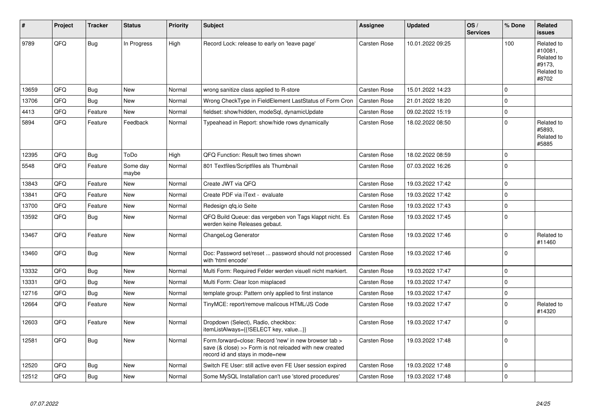| #     | Project | <b>Tracker</b> | <b>Status</b>     | <b>Priority</b> | <b>Subject</b>                                                                                                                                      | Assignee            | <b>Updated</b>   | OS/<br><b>Services</b> | % Done      | Related<br><b>issues</b>                                             |
|-------|---------|----------------|-------------------|-----------------|-----------------------------------------------------------------------------------------------------------------------------------------------------|---------------------|------------------|------------------------|-------------|----------------------------------------------------------------------|
| 9789  | QFQ     | <b>Bug</b>     | In Progress       | High            | Record Lock: release to early on 'leave page'                                                                                                       | <b>Carsten Rose</b> | 10.01.2022 09:25 |                        | 100         | Related to<br>#10081,<br>Related to<br>#9173,<br>Related to<br>#8702 |
| 13659 | QFQ     | Bug            | <b>New</b>        | Normal          | wrong sanitize class applied to R-store                                                                                                             | <b>Carsten Rose</b> | 15.01.2022 14:23 |                        | $\Omega$    |                                                                      |
| 13706 | QFQ     | <b>Bug</b>     | <b>New</b>        | Normal          | Wrong CheckType in FieldElement LastStatus of Form Cron                                                                                             | <b>Carsten Rose</b> | 21.01.2022 18:20 |                        | $\Omega$    |                                                                      |
| 4413  | QFQ     | Feature        | <b>New</b>        | Normal          | fieldset: show/hidden, modeSql, dynamicUpdate                                                                                                       | <b>Carsten Rose</b> | 09.02.2022 15:19 |                        | $\mathbf 0$ |                                                                      |
| 5894  | QFQ     | Feature        | Feedback          | Normal          | Typeahead in Report: show/hide rows dynamically                                                                                                     | Carsten Rose        | 18.02.2022 08:50 |                        | $\Omega$    | Related to<br>#5893.<br>Related to<br>#5885                          |
| 12395 | QFQ     | <b>Bug</b>     | ToDo              | High            | QFQ Function: Result two times shown                                                                                                                | <b>Carsten Rose</b> | 18.02.2022 08:59 |                        | $\Omega$    |                                                                      |
| 5548  | QFQ     | Feature        | Some day<br>maybe | Normal          | 801 Textfiles/Scriptfiles als Thumbnail                                                                                                             | <b>Carsten Rose</b> | 07.03.2022 16:26 |                        | $\Omega$    |                                                                      |
| 13843 | QFQ     | Feature        | <b>New</b>        | Normal          | Create JWT via QFQ                                                                                                                                  | <b>Carsten Rose</b> | 19.03.2022 17:42 |                        | 0           |                                                                      |
| 13841 | QFQ     | Feature        | <b>New</b>        | Normal          | Create PDF via iText - evaluate                                                                                                                     | <b>Carsten Rose</b> | 19.03.2022 17:42 |                        | $\Omega$    |                                                                      |
| 13700 | QFQ     | Feature        | New               | Normal          | Redesign gfg.io Seite                                                                                                                               | Carsten Rose        | 19.03.2022 17:43 |                        | $\Omega$    |                                                                      |
| 13592 | QFQ     | Bug            | New               | Normal          | QFQ Build Queue: das vergeben von Tags klappt nicht. Es<br>werden keine Releases gebaut.                                                            | <b>Carsten Rose</b> | 19.03.2022 17:45 |                        | $\Omega$    |                                                                      |
| 13467 | QFQ     | Feature        | New               | Normal          | ChangeLog Generator                                                                                                                                 | Carsten Rose        | 19.03.2022 17:46 |                        | $\mathbf 0$ | Related to<br>#11460                                                 |
| 13460 | QFQ     | <b>Bug</b>     | New               | Normal          | Doc: Password set/reset  password should not processed<br>with 'html encode'                                                                        | Carsten Rose        | 19.03.2022 17:46 |                        | $\Omega$    |                                                                      |
| 13332 | QFQ     | <b>Bug</b>     | <b>New</b>        | Normal          | Multi Form: Required Felder werden visuell nicht markiert.                                                                                          | <b>Carsten Rose</b> | 19.03.2022 17:47 |                        | 0           |                                                                      |
| 13331 | QFQ     | <b>Bug</b>     | <b>New</b>        | Normal          | Multi Form: Clear Icon misplaced                                                                                                                    | <b>Carsten Rose</b> | 19.03.2022 17:47 |                        | $\Omega$    |                                                                      |
| 12716 | QFQ     | <b>Bug</b>     | <b>New</b>        | Normal          | template group: Pattern only applied to first instance                                                                                              | Carsten Rose        | 19.03.2022 17:47 |                        | $\Omega$    |                                                                      |
| 12664 | QFQ     | Feature        | <b>New</b>        | Normal          | TinyMCE: report/remove malicous HTML/JS Code                                                                                                        | Carsten Rose        | 19.03.2022 17:47 |                        | $\Omega$    | Related to<br>#14320                                                 |
| 12603 | QFQ     | Feature        | New               | Normal          | Dropdown (Select), Radio, checkbox:<br>itemListAlways={{!SELECT key, value}}                                                                        | <b>Carsten Rose</b> | 19.03.2022 17:47 |                        | $\Omega$    |                                                                      |
| 12581 | QFQ     | Bug            | New               | Normal          | Form.forward=close: Record 'new' in new browser tab ><br>save (& close) >> Form is not reloaded with new created<br>record id and stays in mode=new | <b>Carsten Rose</b> | 19.03.2022 17:48 |                        | $\Omega$    |                                                                      |
| 12520 | QFQ     | Bug            | <b>New</b>        | Normal          | Switch FE User: still active even FE User session expired                                                                                           | <b>Carsten Rose</b> | 19.03.2022 17:48 |                        | $\mathbf 0$ |                                                                      |
| 12512 | QFQ     | Bug            | <b>New</b>        | Normal          | Some MySQL Installation can't use 'stored procedures'                                                                                               | <b>Carsten Rose</b> | 19.03.2022 17:48 |                        | $\Omega$    |                                                                      |